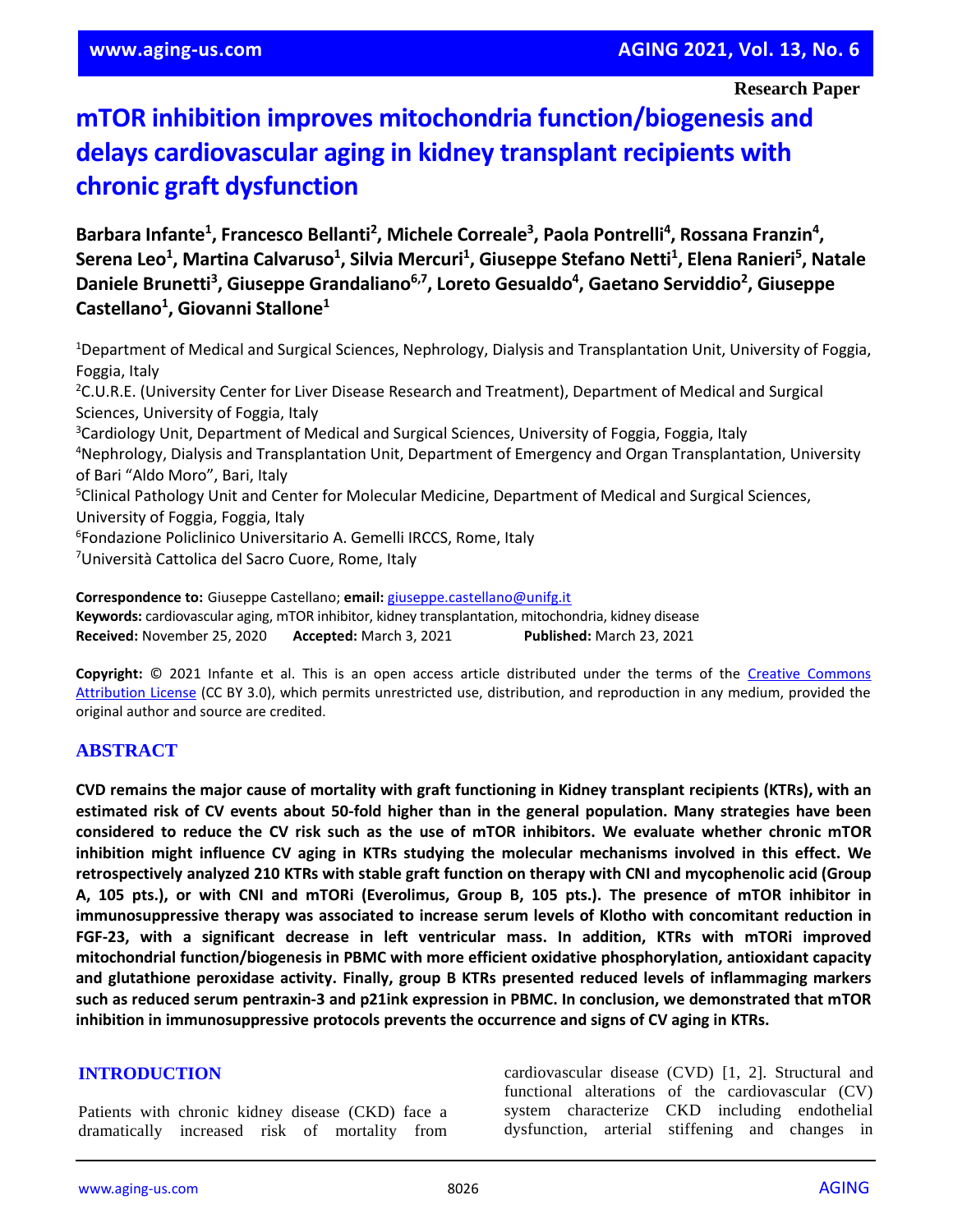**Research Paper**

# **mTOR inhibition improves mitochondria function/biogenesis and delays cardiovascular aging in kidney transplant recipients with chronic graft dysfunction**

**Barbara Infante<sup>1</sup> , Francesco Bellanti<sup>2</sup> , Michele Correale<sup>3</sup> , Paola Pontrelli<sup>4</sup> , Rossana Franzin<sup>4</sup> , Serena Leo<sup>1</sup> , Martina Calvaruso<sup>1</sup> , Silvia Mercuri<sup>1</sup> , Giuseppe Stefano Netti<sup>1</sup> , Elena Ranieri<sup>5</sup> , Natale Daniele Brunetti<sup>3</sup> , Giuseppe Grandaliano6,7, Loreto Gesualdo<sup>4</sup> , Gaetano Serviddio<sup>2</sup> , Giuseppe Castellano<sup>1</sup> , Giovanni Stallone<sup>1</sup>**

<sup>1</sup>Department of Medical and Surgical Sciences, Nephrology, Dialysis and Transplantation Unit, University of Foggia, Foggia, Italy <sup>2</sup>C.U.R.E. (University Center for Liver Disease Research and Treatment), Department of Medical and Surgical Sciences, University of Foggia, Italy <sup>3</sup>Cardiology Unit, Department of Medical and Surgical Sciences, University of Foggia, Foggia, Italy <sup>4</sup>Nephrology, Dialysis and Transplantation Unit, Department of Emergency and Organ Transplantation, University of Bari "Aldo Moro", Bari, Italy <sup>5</sup>Clinical Pathology Unit and Center for Molecular Medicine, Department of Medical and Surgical Sciences, University of Foggia, Foggia, Italy 6 Fondazione Policlinico Universitario A. Gemelli IRCCS, Rome, Italy <sup>7</sup>Università Cattolica del Sacro Cuore, Rome, Italy

**Correspondence to:** Giuseppe Castellano; **email:** [giuseppe.castellano@unifg.it](mailto:giuseppe.castellano@unifg.it) **Keywords:** cardiovascular aging, mTOR inhibitor, kidney transplantation, mitochondria, kidney disease **Received:** November 25, 2020 **Accepted:** March 3, 2021 **Published:** March 23, 2021

**Copyright:** © 2021 Infante et al. This is an open access article distributed under the terms of the [Creative Commons](https://creativecommons.org/licenses/by/3.0/)  [Attribution License](https://creativecommons.org/licenses/by/3.0/) (CC BY 3.0), which permits unrestricted use, distribution, and reproduction in any medium, provided the original author and source are credited.

# **ABSTRACT**

CVD remains the major cause of mortality with graft functioning in Kidney transplant recipients (KTRs), with an estimated risk of CV events about 50-fold higher than in the general population. Many strategies have been considered to reduce the CV risk such as the use of mTOR inhibitors. We evaluate whether chronic mTOR **inhibition might influence CV aging in KTRs studying the molecular mechanisms involved in this effect. We retrospectively analyzed 210 KTRs with stable graft function on therapy with CNI and mycophenolic acid (Group** A, 105 pts.), or with CNI and mTORi (Everolimus, Group B, 105 pts.). The presence of mTOR inhibitor in **immunosuppressive therapy was associated to increase serum levels of Klotho with concomitant reduction in FGF-23, with a significant decrease in left ventricular mass. In addition, KTRs with mTORi improved mitochondrial function/biogenesis in PBMC with more efficient oxidative phosphorylation, antioxidant capacity and glutathione peroxidase activity. Finally, group B KTRs presented reduced levels of inflammaging markers such as reduced serum pentraxin-3 and p21ink expression in PBMC. In conclusion, we demonstrated that mTOR inhibition in immunosuppressive protocols prevents the occurrence and signs of CV aging in KTRs.**

#### **INTRODUCTION**

Patients with chronic kidney disease (CKD) face a dramatically increased risk of mortality from cardiovascular disease (CVD) [1, 2]. Structural and functional alterations of the cardiovascular (CV) system characterize CKD including endothelial dysfunction, arterial stiffening and changes in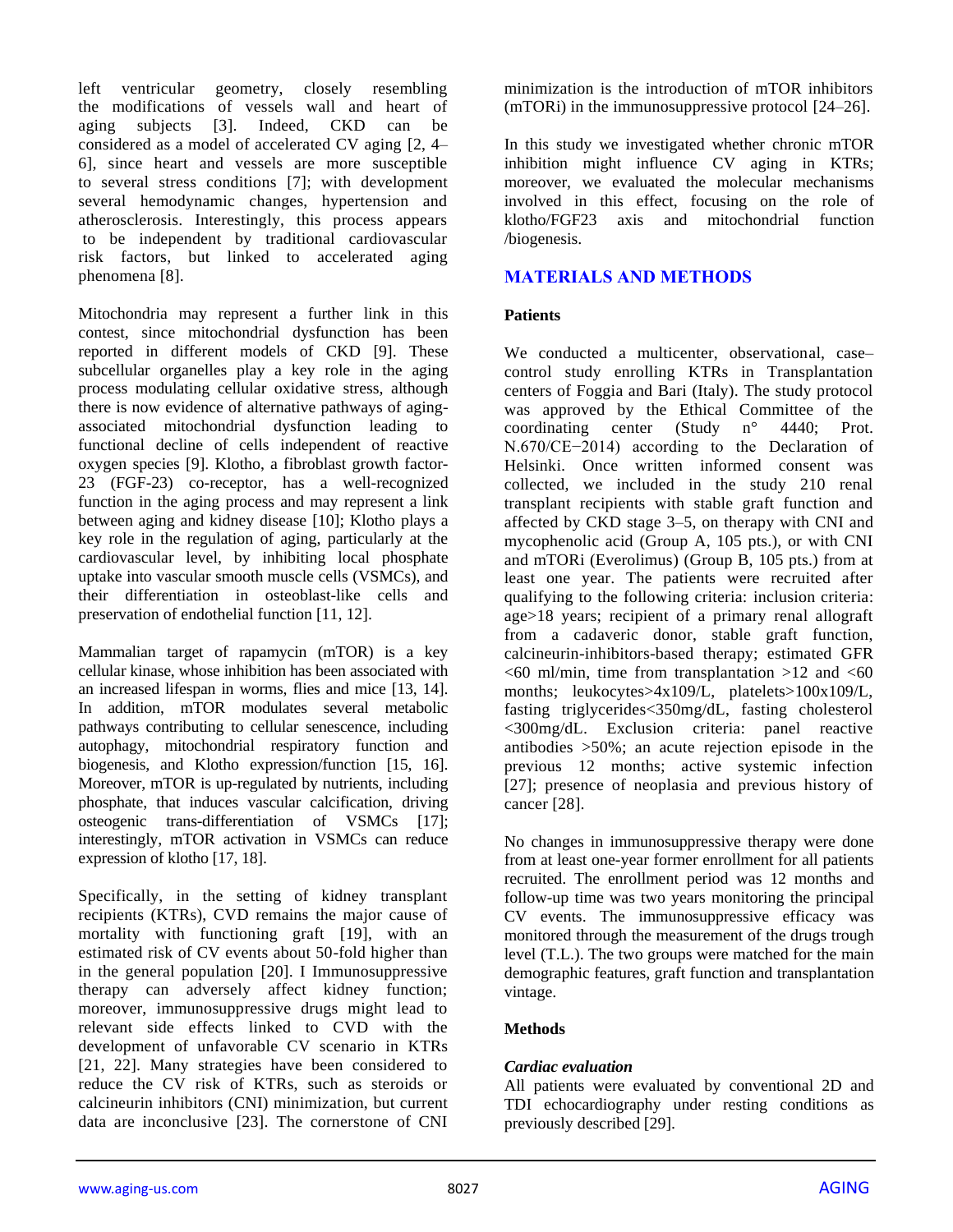left ventricular geometry, closely resembling the modifications of vessels wall and heart of aging subjects [3]. Indeed, CKD can be considered as a model of accelerated CV aging [2, 4– 6], since heart and vessels are more susceptible to several stress conditions [7]; with development several hemodynamic changes, hypertension and atherosclerosis. Interestingly, this process appears to be independent by traditional cardiovascular risk factors, but linked to accelerated aging phenomena [8].

Mitochondria may represent a further link in this contest, since mitochondrial dysfunction has been reported in different models of CKD [9]. These subcellular organelles play a key role in the aging process modulating cellular oxidative stress, although there is now evidence of alternative pathways of agingassociated mitochondrial dysfunction leading to functional decline of cells independent of reactive oxygen species [9]. Klotho, a fibroblast growth factor-23 (FGF-23) co-receptor, has a well-recognized function in the aging process and may represent a link between aging and kidney disease [10]; Klotho plays a key role in the regulation of aging, particularly at the cardiovascular level, by inhibiting local phosphate uptake into vascular smooth muscle cells (VSMCs), and their differentiation in osteoblast-like cells and preservation of endothelial function [11, 12].

Mammalian target of rapamycin (mTOR) is a key cellular kinase, whose inhibition has been associated with an increased lifespan in worms, flies and mice [13, 14]. In addition, mTOR modulates several metabolic pathways contributing to cellular senescence, including autophagy, mitochondrial respiratory function and biogenesis, and Klotho expression/function [15, 16]. Moreover, mTOR is up-regulated by nutrients, including phosphate, that induces vascular calcification, driving osteogenic trans-differentiation of VSMCs [17]; interestingly, mTOR activation in VSMCs can reduce expression of klotho [17, 18].

Specifically, in the setting of kidney transplant recipients (KTRs), CVD remains the major cause of mortality with functioning graft [19], with an estimated risk of CV events about 50-fold higher than in the general population [20]. I Immunosuppressive therapy can adversely affect kidney function; moreover, immunosuppressive drugs might lead to relevant side effects linked to CVD with the development of unfavorable CV scenario in KTRs [21, 22]. Many strategies have been considered to reduce the CV risk of KTRs, such as steroids or calcineurin inhibitors (CNI) minimization, but current data are inconclusive [23]. The cornerstone of CNI

minimization is the introduction of mTOR inhibitors (mTORi) in the immunosuppressive protocol [24–26].

In this study we investigated whether chronic mTOR inhibition might influence CV aging in KTRs; moreover, we evaluated the molecular mechanisms involved in this effect, focusing on the role of klotho/FGF23 axis and mitochondrial function /biogenesis.

## **MATERIALS AND METHODS**

### **Patients**

We conducted a multicenter, observational, case– control study enrolling KTRs in Transplantation centers of Foggia and Bari (Italy). The study protocol was approved by the Ethical Committee of the coordinating center (Study n° 4440; Prot. N.670/CE−2014) according to the Declaration of Helsinki. Once written informed consent was collected, we included in the study 210 renal transplant recipients with stable graft function and affected by CKD stage 3–5, on therapy with CNI and mycophenolic acid (Group A, 105 pts.), or with CNI and mTORi (Everolimus) (Group B, 105 pts.) from at least one year. The patients were recruited after qualifying to the following criteria: inclusion criteria: age>18 years; recipient of a primary renal allograft from a cadaveric donor, stable graft function, calcineurin-inhibitors-based therapy; estimated GFR  $<60$  ml/min, time from transplantation >12 and  $<60$ months; leukocytes>4x109/L, platelets>100x109/L, fasting triglycerides<350mg/dL, fasting cholesterol <300mg/dL. Exclusion criteria: panel reactive antibodies >50%; an acute rejection episode in the previous 12 months; active systemic infection [27]; presence of neoplasia and previous history of cancer [28].

No changes in immunosuppressive therapy were done from at least one-year former enrollment for all patients recruited. The enrollment period was 12 months and follow-up time was two years monitoring the principal CV events. The immunosuppressive efficacy was monitored through the measurement of the drugs trough level (T.L.). The two groups were matched for the main demographic features, graft function and transplantation vintage.

#### **Methods**

#### *Cardiac evaluation*

All patients were evaluated by conventional 2D and TDI echocardiography under resting conditions as previously described [29].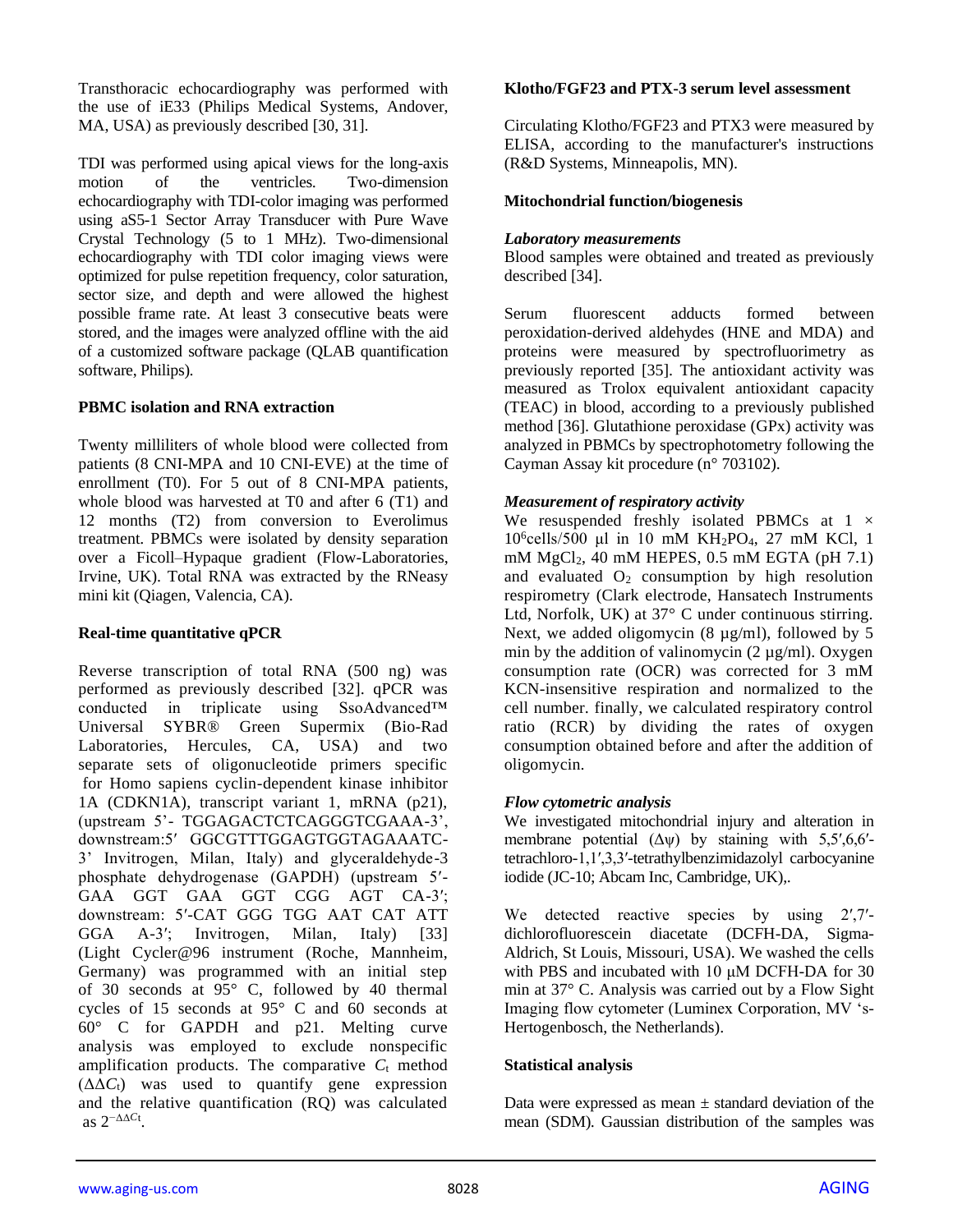Transthoracic echocardiography was performed with the use of iE33 (Philips Medical Systems, Andover, MA, USA) as previously described [30, 31].

TDI was performed using apical views for the long-axis motion of the ventricles. Two-dimension echocardiography with TDI-color imaging was performed using aS5-1 Sector Array Transducer with Pure Wave Crystal Technology (5 to 1 MHz). Two-dimensional echocardiography with TDI color imaging views were optimized for pulse repetition frequency, color saturation, sector size, and depth and were allowed the highest possible frame rate. At least 3 consecutive beats were stored, and the images were analyzed offline with the aid of a customized software package (QLAB quantification software, Philips).

## **PBMC isolation and RNA extraction**

Twenty milliliters of whole blood were collected from patients (8 CNI-MPA and 10 CNI-EVE) at the time of enrollment (T0). For 5 out of 8 CNI-MPA patients, whole blood was harvested at T0 and after 6 (T1) and 12 months (T2) from conversion to Everolimus treatment. PBMCs were isolated by density separation over a Ficoll–Hypaque gradient (Flow-Laboratories, Irvine, UK). Total RNA was extracted by the RNeasy mini kit (Qiagen, Valencia, CA).

#### **Real-time quantitative qPCR**

Reverse transcription of total RNA (500 ng) was performed as previously described [32]. qPCR was conducted in triplicate using SsoAdvanced™ Universal SYBR® Green Supermix (Bio-Rad Laboratories, Hercules, CA, USA) and two separate sets of oligonucleotide primers specific for Homo sapiens cyclin-dependent kinase inhibitor 1A (CDKN1A), transcript variant 1, mRNA (p21), (upstream 5'- TGGAGACTCTCAGGGTCGAAA-3', downstream:5′ GGCGTTTGGAGTGGTAGAAATC-3' Invitrogen, Milan, Italy) and glyceraldehyde-3 phosphate dehydrogenase (GAPDH) (upstream 5′- GAA GGT GAA GGT CGG AGT CA-3′; downstream: 5′-CAT GGG TGG AAT CAT ATT GGA A-3′; Invitrogen, Milan, Italy) [33] (Light Cycler@96 instrument (Roche, Mannheim, Germany) was programmed with an initial step of 30 seconds at 95° C, followed by 40 thermal cycles of 15 seconds at 95° C and 60 seconds at 60° C for GAPDH and p21. Melting curve analysis was employed to exclude nonspecific amplification products. The comparative  $C_t$  method  $(\Delta \Delta C_t)$  was used to quantify gene expression and the relative quantification (RQ) was calculated as 2−ΔΔ*C*<sup>t</sup> .

# **Klotho/FGF23 and PTX-3 serum level assessment**

Circulating Klotho/FGF23 and PTX3 were measured by ELISA, according to the manufacturer's instructions (R&D Systems, Minneapolis, MN).

# **Mitochondrial function/biogenesis**

# *Laboratory measurements*

Blood samples were obtained and treated as previously described [34].

Serum fluorescent adducts formed between peroxidation-derived aldehydes (HNE and MDA) and proteins were measured by spectrofluorimetry as previously reported [35]. The antioxidant activity was measured as Trolox equivalent antioxidant capacity (TEAC) in blood, according to a previously published method [36]. Glutathione peroxidase (GPx) activity was analyzed in PBMCs by spectrophotometry following the Cayman Assay kit procedure (n° 703102).

# *Measurement of respiratory activity*

We resuspended freshly isolated PBMCs at  $1 \times$ 10<sup>6</sup>cells/500 μl in 10 mM KH2PO4, 27 mM KCl, 1 mM  $MgCl<sub>2</sub>$ , 40 mM HEPES, 0.5 mM EGTA (pH 7.1) and evaluated  $O_2$  consumption by high resolution respirometry (Clark electrode, Hansatech Instruments Ltd, Norfolk, UK) at 37° C under continuous stirring. Next, we added oligomycin (8 µg/ml), followed by 5 min by the addition of valinomycin  $(2 \mu g/ml)$ . Oxygen consumption rate (OCR) was corrected for 3 mM KCN-insensitive respiration and normalized to the cell number. finally, we calculated respiratory control ratio (RCR) by dividing the rates of oxygen consumption obtained before and after the addition of oligomycin.

# *Flow cytometric analysis*

We investigated mitochondrial injury and alteration in membrane potential  $(\Delta \psi)$  by staining with 5,5',6,6'tetrachloro-1,1′,3,3′-tetrathylbenzimidazolyl carbocyanine iodide (JC-10; Abcam Inc, Cambridge, UK),.

We detected reactive species by using 2',7'dichlorofluorescein diacetate (DCFH-DA, Sigma-Aldrich, St Louis, Missouri, USA). We washed the cells with PBS and incubated with 10 μM DCFH-DA for 30 min at 37° C. Analysis was carried out by a Flow Sight Imaging flow cytometer (Luminex Corporation, MV 's-Hertogenbosch, the Netherlands).

# **Statistical analysis**

Data were expressed as mean  $\pm$  standard deviation of the mean (SDM). Gaussian distribution of the samples was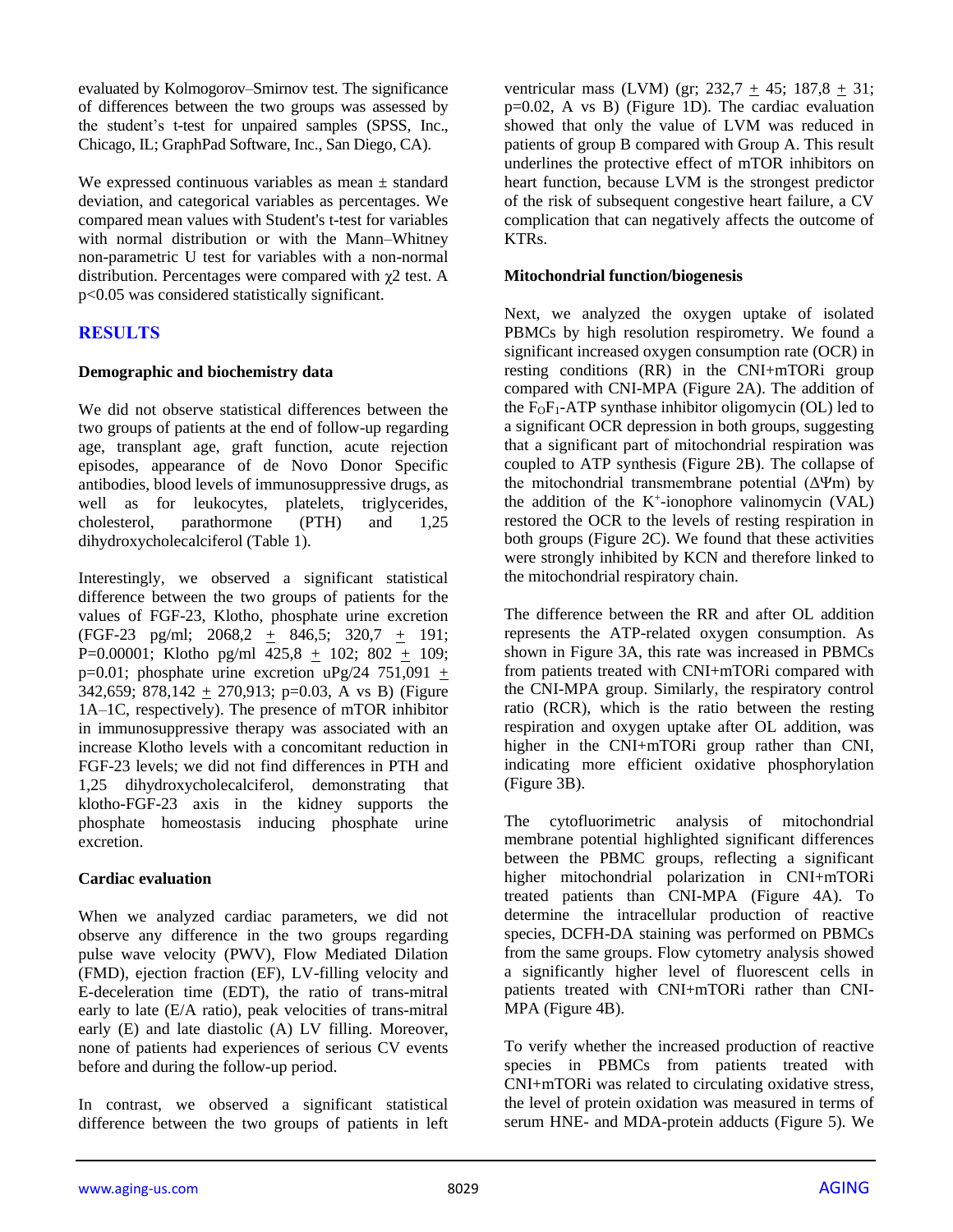evaluated by Kolmogorov–Smirnov test. The significance of differences between the two groups was assessed by the student's t-test for unpaired samples (SPSS, Inc., Chicago, IL; GraphPad Software, Inc., San Diego, CA).

We expressed continuous variables as mean  $\pm$  standard deviation, and categorical variables as percentages. We compared mean values with Student's t-test for variables with normal distribution or with the Mann–Whitney non-parametric U test for variables with a non-normal distribution. Percentages were compared with  $\chi$ 2 test. A p<0.05 was considered statistically significant.

# **RESULTS**

## **Demographic and biochemistry data**

We did not observe statistical differences between the two groups of patients at the end of follow-up regarding age, transplant age, graft function, acute rejection episodes, appearance of de Novo Donor Specific antibodies, blood levels of immunosuppressive drugs, as well as for leukocytes, platelets, triglycerides, cholesterol, parathormone (PTH) and 1,25 dihydroxycholecalciferol (Table 1).

Interestingly, we observed a significant statistical difference between the two groups of patients for the values of FGF-23, Klotho, phosphate urine excretion (FGF-23 pg/ml; 2068,2 + 846,5; 320,7 + 191; P=0.00001; Klotho pg/ml 425,8 + 102; 802 + 109;  $p=0.01$ ; phosphate urine excretion uPg/24 751,091 + 342,659; 878,142  $\pm$  270,913; p=0.03, A vs B) (Figure 1A–1C, respectively). The presence of mTOR inhibitor in immunosuppressive therapy was associated with an increase Klotho levels with a concomitant reduction in FGF-23 levels; we did not find differences in PTH and 1,25 dihydroxycholecalciferol, demonstrating that klotho-FGF-23 axis in the kidney supports the phosphate homeostasis inducing phosphate urine excretion.

# **Cardiac evaluation**

When we analyzed cardiac parameters, we did not observe any difference in the two groups regarding pulse wave velocity (PWV), Flow Mediated Dilation (FMD), ejection fraction (EF), LV-filling velocity and E-deceleration time (EDT), the ratio of trans-mitral early to late (E/A ratio), peak velocities of trans-mitral early (E) and late diastolic (A) LV filling. Moreover, none of patients had experiences of serious CV events before and during the follow-up period.

In contrast, we observed a significant statistical difference between the two groups of patients in left ventricular mass (LVM) (gr;  $232.7 + 45$ ;  $187.8 + 31$ ; p=0.02, A vs B) (Figure 1D). The cardiac evaluation showed that only the value of LVM was reduced in patients of group B compared with Group A. This result underlines the protective effect of mTOR inhibitors on heart function, because LVM is the strongest predictor of the risk of subsequent congestive heart failure, a CV complication that can negatively affects the outcome of KTRs.

### **Mitochondrial function/biogenesis**

Next, we analyzed the oxygen uptake of isolated PBMCs by high resolution respirometry. We found a significant increased oxygen consumption rate (OCR) in resting conditions (RR) in the CNI+mTORi group compared with CNI-MPA (Figure 2A). The addition of the  $F_0F_1$ -ATP synthase inhibitor oligomycin (OL) led to a significant OCR depression in both groups, suggesting that a significant part of mitochondrial respiration was coupled to ATP synthesis (Figure 2B). The collapse of the mitochondrial transmembrane potential  $(\Delta \Psi m)$  by the addition of the  $K^+$ -ionophore valinomycin (VAL) restored the OCR to the levels of resting respiration in both groups (Figure 2C). We found that these activities were strongly inhibited by KCN and therefore linked to the mitochondrial respiratory chain.

The difference between the RR and after OL addition represents the ATP-related oxygen consumption. As shown in Figure 3A, this rate was increased in PBMCs from patients treated with CNI+mTORi compared with the CNI-MPA group. Similarly, the respiratory control ratio (RCR), which is the ratio between the resting respiration and oxygen uptake after OL addition, was higher in the CNI+mTORi group rather than CNI, indicating more efficient oxidative phosphorylation (Figure 3B).

The cytofluorimetric analysis of mitochondrial membrane potential highlighted significant differences between the PBMC groups, reflecting a significant higher mitochondrial polarization in CNI+mTORi treated patients than CNI-MPA (Figure 4A). To determine the intracellular production of reactive species, DCFH-DA staining was performed on PBMCs from the same groups. Flow cytometry analysis showed a significantly higher level of fluorescent cells in patients treated with CNI+mTORi rather than CNI-MPA (Figure 4B).

To verify whether the increased production of reactive species in PBMCs from patients treated with CNI+mTORi was related to circulating oxidative stress, the level of protein oxidation was measured in terms of serum HNE- and MDA-protein adducts (Figure 5). We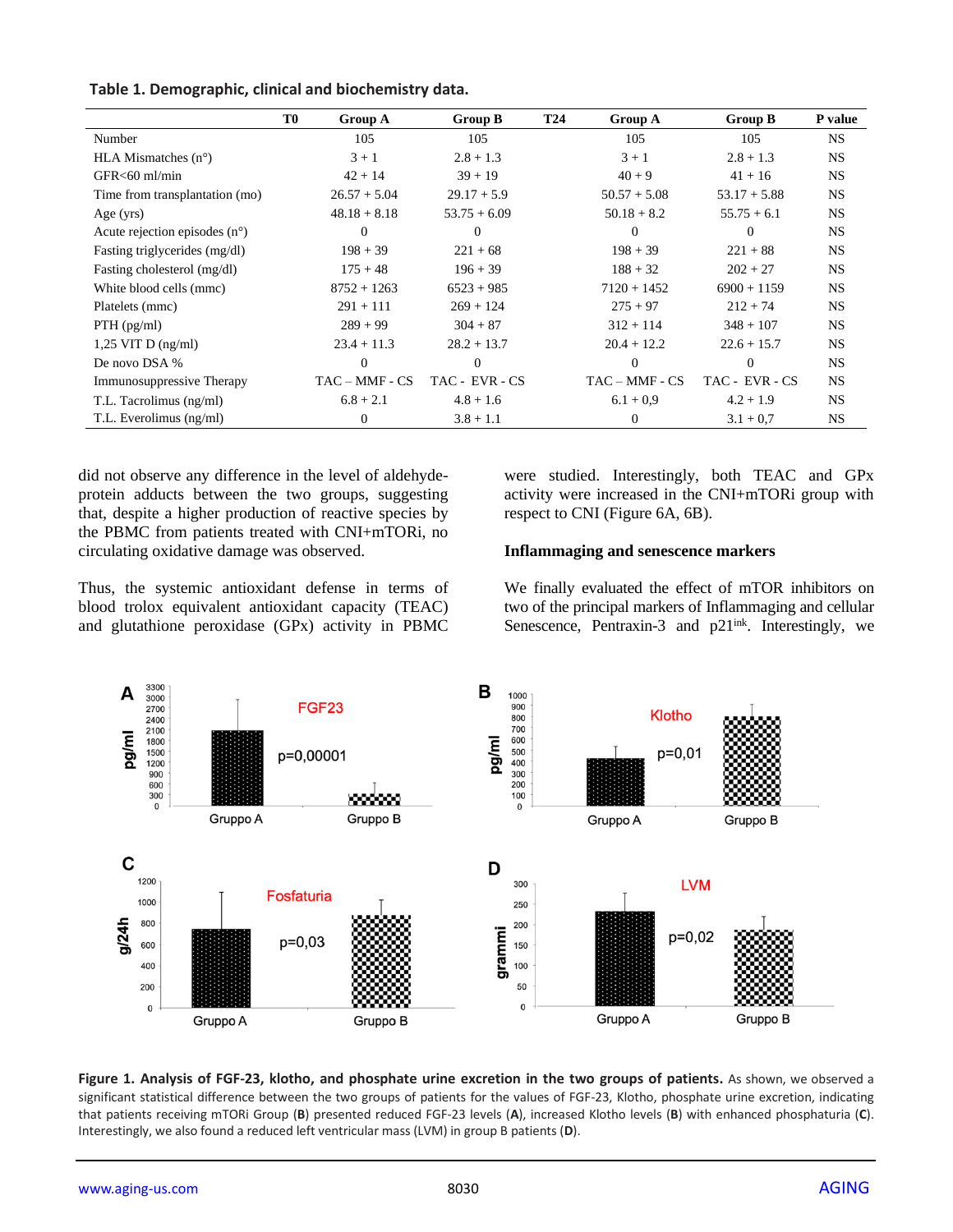|                                        | T <sub>0</sub> | Group A          | <b>Group B</b> | <b>T24</b> | Group A          | Group B        | P value   |
|----------------------------------------|----------------|------------------|----------------|------------|------------------|----------------|-----------|
| Number                                 |                | 105              | 105            |            | 105              | 105            | <b>NS</b> |
| HLA Mismatches $(n^{\circ})$           |                | $3 + 1$          | $2.8 + 1.3$    |            | $3 + 1$          | $2.8 + 1.3$    | <b>NS</b> |
| $GFR < 60$ ml/min                      |                | $42 + 14$        | $39 + 19$      |            | $40 + 9$         | $41 + 16$      | <b>NS</b> |
| Time from transplantation (mo)         |                | $26.57 + 5.04$   | $29.17 + 5.9$  |            | $50.57 + 5.08$   | $53.17 + 5.88$ | <b>NS</b> |
| Age $(yrs)$                            |                | $48.18 + 8.18$   | $53.75 + 6.09$ |            | $50.18 + 8.2$    | $55.75 + 6.1$  | <b>NS</b> |
| Acute rejection episodes $(n^{\circ})$ |                | $\Omega$         | $\Omega$       |            | $\Omega$         | $\Omega$       | <b>NS</b> |
| Fasting triglycerides (mg/dl)          |                | $198 + 39$       | $221 + 68$     |            | $198 + 39$       | $221 + 88$     | <b>NS</b> |
| Fasting cholesterol (mg/dl)            |                | $175 + 48$       | $196 + 39$     |            | $188 + 32$       | $202 + 27$     | <b>NS</b> |
| White blood cells (mmc)                |                | $8752 + 1263$    | $6523 + 985$   |            | $7120 + 1452$    | $6900 + 1159$  | <b>NS</b> |
| Platelets (mmc)                        |                | $291 + 111$      | $269 + 124$    |            | $275 + 97$       | $212 + 74$     | <b>NS</b> |
| $PTH$ (pg/ml)                          |                | $289 + 99$       | $304 + 87$     |            | $312 + 114$      | $348 + 107$    | NS.       |
| $1,25$ VIT D (ng/ml)                   |                | $23.4 + 11.3$    | $28.2 + 13.7$  |            | $20.4 + 12.2$    | $22.6 + 15.7$  | <b>NS</b> |
| De novo DSA %                          |                | $\overline{0}$   | $\mathbf{0}$   |            | $\overline{0}$   | $\Omega$       | <b>NS</b> |
| Immunosuppressive Therapy              |                | $TAC - MMF - CS$ | TAC - EVR - CS |            | $TAC - MMF - CS$ | TAC - EVR - CS | <b>NS</b> |
| T.L. Tacrolimus (ng/ml)                |                | $6.8 + 2.1$      | $4.8 + 1.6$    |            | $6.1 + 0.9$      | $4.2 + 1.9$    | <b>NS</b> |
| T.L. Everolimus (ng/ml)                |                | $\mathbf{0}$     | $3.8 + 1.1$    |            | $\mathbf{0}$     | $3.1 + 0.7$    | NS.       |

**Table 1. Demographic, clinical and biochemistry data.**

did not observe any difference in the level of aldehydeprotein adducts between the two groups, suggesting that, despite a higher production of reactive species by the PBMC from patients treated with CNI+mTORi, no circulating oxidative damage was observed.

were studied. Interestingly, both TEAC and GPx activity were increased in the CNI+mTORi group with respect to CNI (Figure 6A, 6B).

#### **Inflammaging and senescence markers**

Thus, the systemic antioxidant defense in terms of blood trolox equivalent antioxidant capacity (TEAC) and glutathione peroxidase (GPx) activity in PBMC We finally evaluated the effect of mTOR inhibitors on two of the principal markers of Inflammaging and cellular Senescence, Pentraxin-3 and  $p21^{ink}$ . Interestingly, we



**Figure 1. Analysis of FGF-23, klotho, and phosphate urine excretion in the two groups of patients.** As shown, we observed a significant statistical difference between the two groups of patients for the values of FGF-23, Klotho, phosphate urine excretion, indicating that patients receiving mTORi Group (**B**) presented reduced FGF-23 levels (**A**), increased Klotho levels (**B**) with enhanced phosphaturia (**C**). Interestingly, we also found a reduced left ventricular mass (LVM) in group B patients (**D**).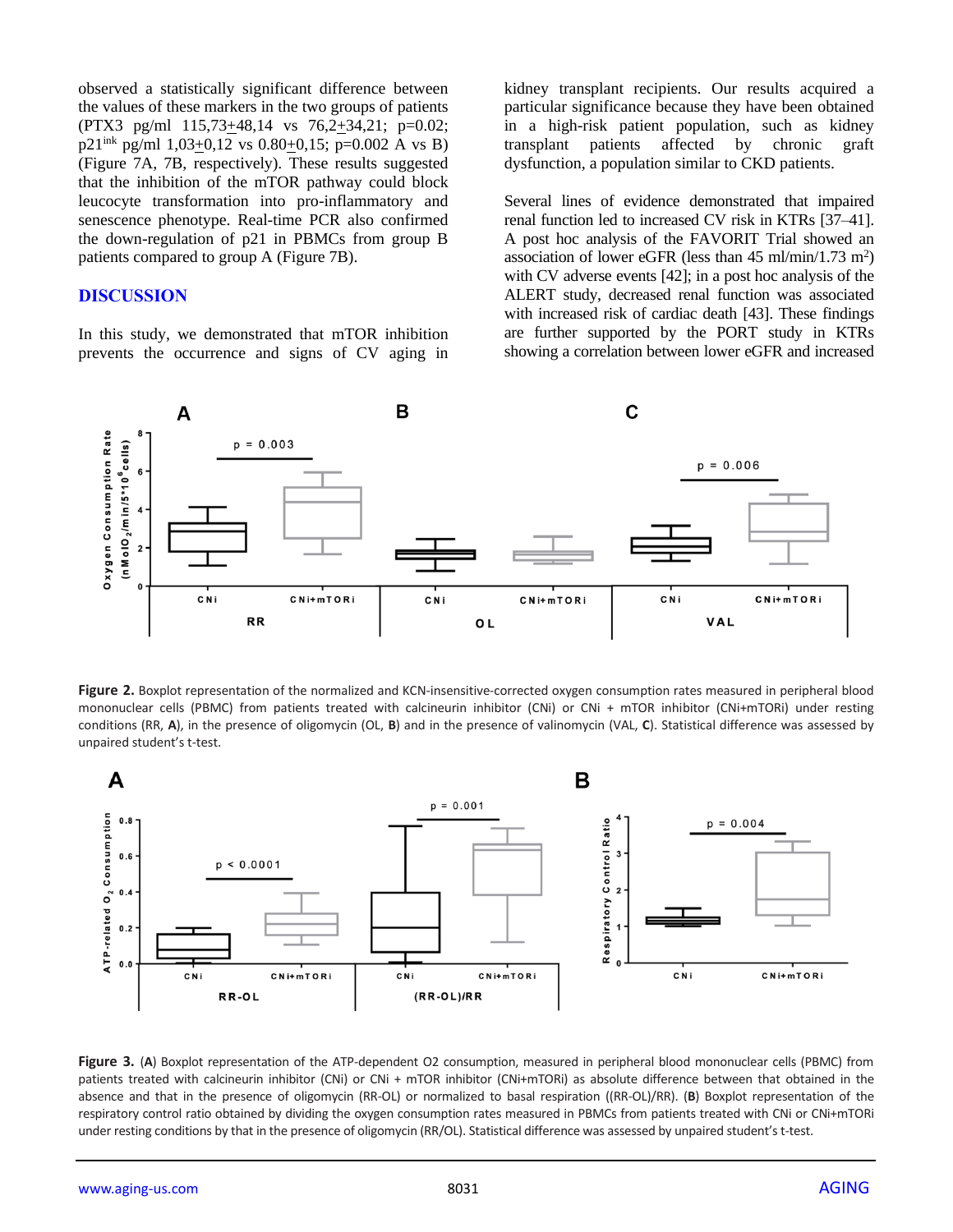observed a statistically significant difference between the values of these markers in the two groups of patients (PTX3 pg/ml 115,73+48,14 vs 76,2+34,21; p=0.02; p21<sup>ink</sup> pg/ml 1,03 $\pm$ 0,12 vs 0.80 $\pm$ 0,15; p=0.002 A vs B) (Figure 7A, 7B, respectively). These results suggested that the inhibition of the mTOR pathway could block leucocyte transformation into pro-inflammatory and senescence phenotype. Real-time PCR also confirmed the down-regulation of p21 in PBMCs from group B patients compared to group A (Figure 7B).

### **DISCUSSION**

In this study, we demonstrated that mTOR inhibition prevents the occurrence and signs of CV aging in kidney transplant recipients. Our results acquired a particular significance because they have been obtained in a high-risk patient population, such as kidney transplant patients affected by chronic graft dysfunction, a population similar to CKD patients.

Several lines of evidence demonstrated that impaired renal function led to increased CV risk in KTRs [37–41]. A post hoc analysis of the FAVORIT Trial showed an association of lower eGFR (less than  $45 \text{ ml/min}/1.73 \text{ m}^2$ ) with CV adverse events [42]; in a post hoc analysis of the ALERT study, decreased renal function was associated with increased risk of cardiac death [43]. These findings are further supported by the PORT study in KTRs showing a correlation between lower eGFR and increased



Figure 2. Boxplot representation of the normalized and KCN-insensitive-corrected oxygen consumption rates measured in peripheral blood mononuclear cells (PBMC) from patients treated with calcineurin inhibitor (CNi) or CNi + mTOR inhibitor (CNi+mTORi) under resting conditions (RR, **A**), in the presence of oligomycin (OL, **B**) and in the presence of valinomycin (VAL, **C**). Statistical difference was assessed by unpaired student's t-test.



**Figure 3.** (**A**) Boxplot representation of the ATP-dependent O2 consumption, measured in peripheral blood mononuclear cells (PBMC) from patients treated with calcineurin inhibitor (CNi) or CNi + mTOR inhibitor (CNi+mTORi) as absolute difference between that obtained in the absence and that in the presence of oligomycin (RR-OL) or normalized to basal respiration ((RR-OL)/RR). (**B**) Boxplot representation of the respiratory control ratio obtained by dividing the oxygen consumption rates measured in PBMCs from patients treated with CNi or CNi+mTORi under resting conditions by that in the presence of oligomycin (RR/OL). Statistical difference was assessed by unpaired student's t-test.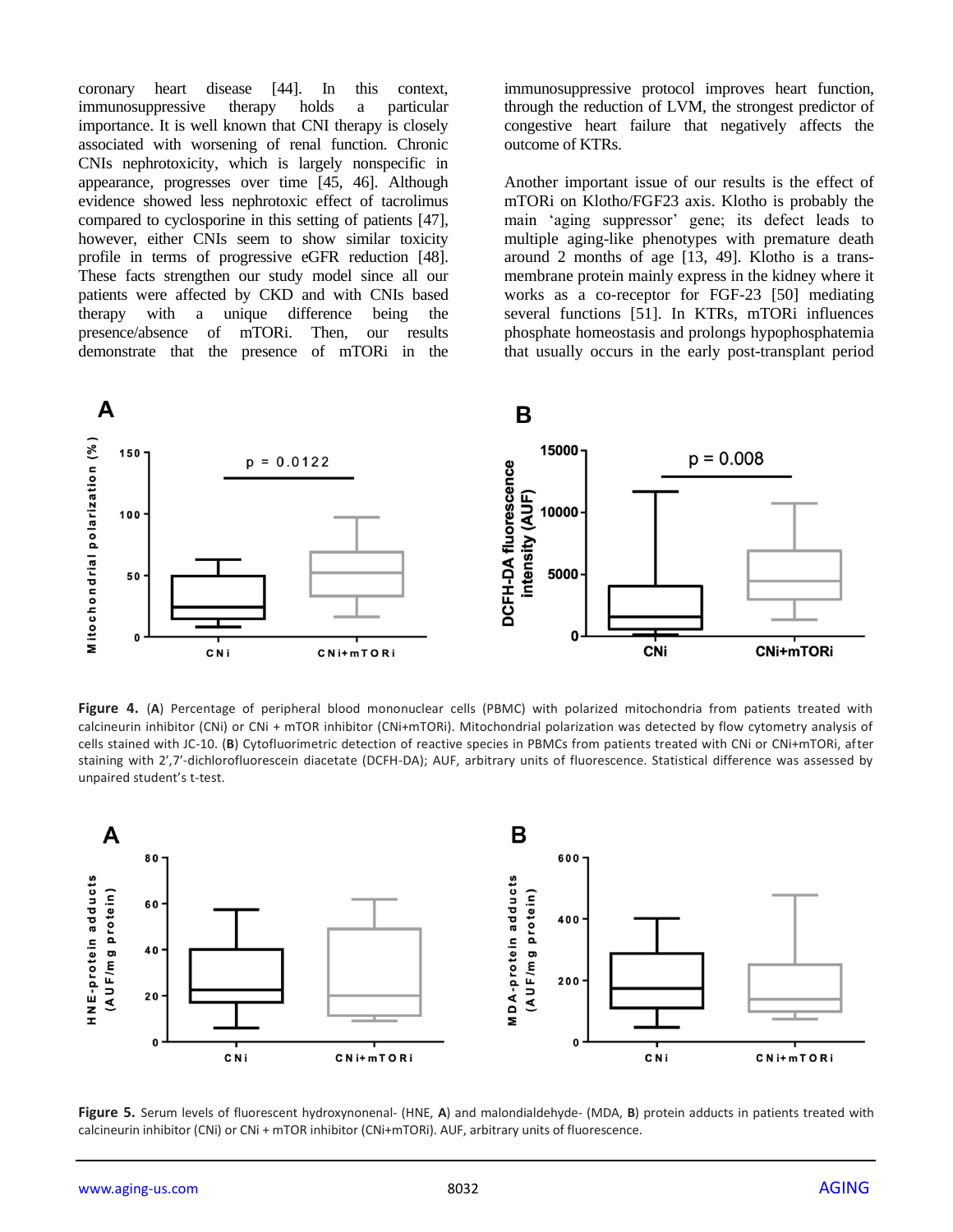coronary heart disease [44]. In this context, immunosuppressive therapy holds a particular importance. It is well known that CNI therapy is closely associated with worsening of renal function. Chronic CNIs nephrotoxicity, which is largely nonspecific in appearance, progresses over time [45, 46]. Although evidence showed less nephrotoxic effect of tacrolimus compared to cyclosporine in this setting of patients [47], however, either CNIs seem to show similar toxicity profile in terms of progressive eGFR reduction [48]. These facts strengthen our study model since all our patients were affected by CKD and with CNIs based therapy with a unique difference being the presence/absence of mTORi. Then, our results demonstrate that the presence of mTORi in the

immunosuppressive protocol improves heart function, through the reduction of LVM, the strongest predictor of congestive heart failure that negatively affects the outcome of KTRs.

Another important issue of our results is the effect of mTORi on Klotho/FGF23 axis. Klotho is probably the main 'aging suppressor' gene; its defect leads to multiple aging-like phenotypes with premature death around 2 months of age [13, 49]. Klotho is a transmembrane protein mainly express in the kidney where it works as a co-receptor for FGF-23 [50] mediating several functions [51]. In KTRs, mTORi influences phosphate homeostasis and prolongs hypophosphatemia that usually occurs in the early post-transplant period



**Figure 4.** (**A**) Percentage of peripheral blood mononuclear cells (PBMC) with polarized mitochondria from patients treated with calcineurin inhibitor (CNi) or CNi + mTOR inhibitor (CNi+mTORi). Mitochondrial polarization was detected by flow cytometry analysis of cells stained with JC-10. (**B**) Cytofluorimetric detection of reactive species in PBMCs from patients treated with CNi or CNi+mTORi, after staining with 2′,7′-dichlorofluorescein diacetate (DCFH-DA); AUF, arbitrary units of fluorescence. Statistical difference was assessed by unpaired student's t-test.



**Figure 5.** Serum levels of fluorescent hydroxynonenal- (HNE, **A**) and malondialdehyde- (MDA, **B**) protein adducts in patients treated with calcineurin inhibitor (CNi) or CNi + mTOR inhibitor (CNi+mTORi). AUF, arbitrary units of fluorescence.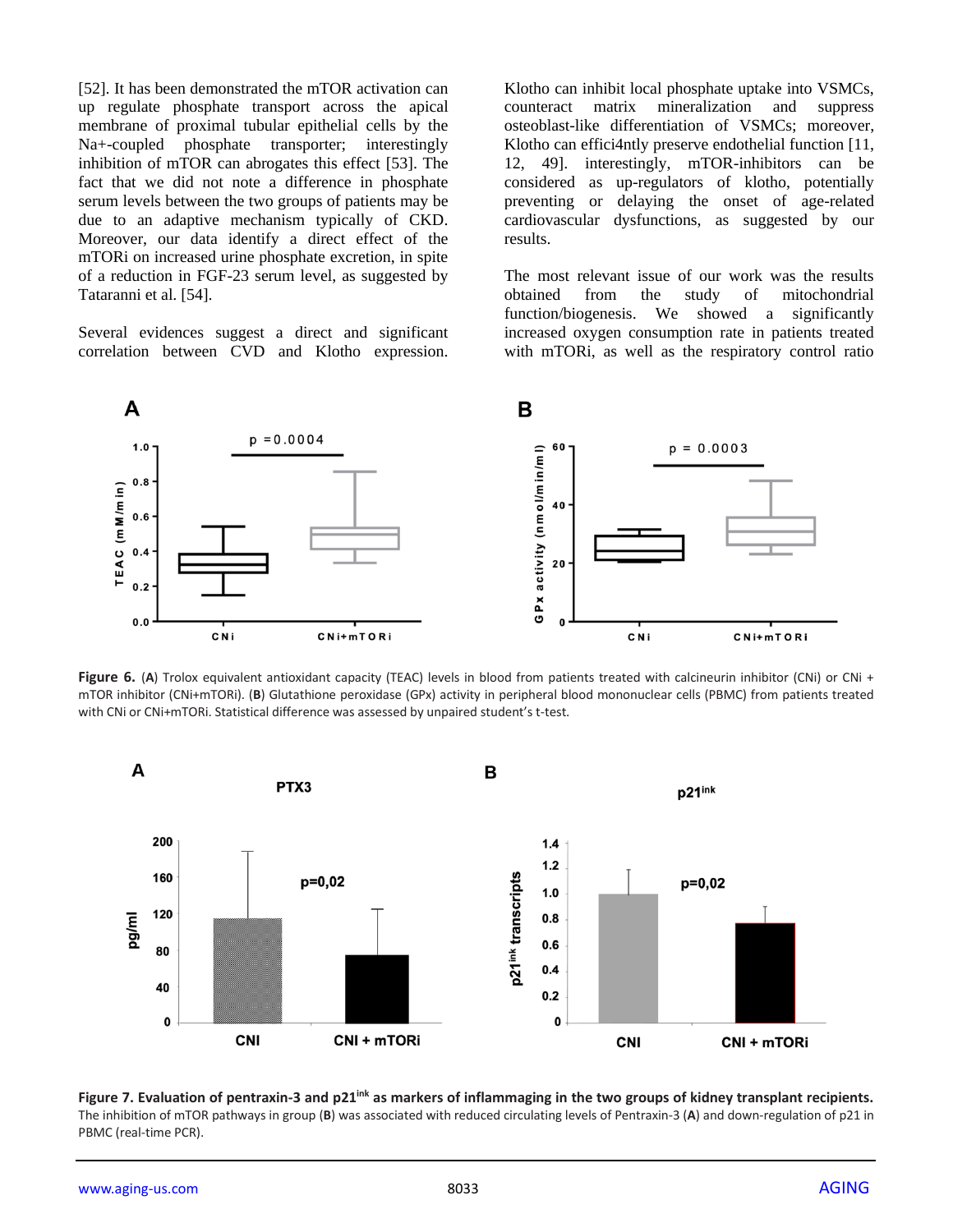[52]. It has been demonstrated the mTOR activation can up regulate phosphate transport across the apical membrane of proximal tubular epithelial cells by the Na+-coupled phosphate transporter; interestingly inhibition of mTOR can abrogates this effect [53]. The fact that we did not note a difference in phosphate serum levels between the two groups of patients may be due to an adaptive mechanism typically of CKD. Moreover, our data identify a direct effect of the mTORi on increased urine phosphate excretion, in spite of a reduction in FGF-23 serum level, as suggested by Tataranni et al. [54].

Several evidences suggest a direct and significant correlation between CVD and Klotho expression. Klotho can inhibit local phosphate uptake into VSMCs, counteract matrix mineralization and suppress osteoblast-like differentiation of VSMCs; moreover, Klotho can effici4ntly preserve endothelial function [11, 12, 49]. interestingly, mTOR-inhibitors can be considered as up-regulators of klotho, potentially preventing or delaying the onset of age-related cardiovascular dysfunctions, as suggested by our results.

The most relevant issue of our work was the results obtained from the study of mitochondrial function/biogenesis. We showed a significantly increased oxygen consumption rate in patients treated with mTORi, as well as the respiratory control ratio



**Figure 6.** (**A**) Trolox equivalent antioxidant capacity (TEAC) levels in blood from patients treated with calcineurin inhibitor (CNi) or CNi + mTOR inhibitor (CNi+mTORi). (**B**) Glutathione peroxidase (GPx) activity in peripheral blood mononuclear cells (PBMC) from patients treated with CNi or CNi+mTORi. Statistical difference was assessed by unpaired student's t-test.



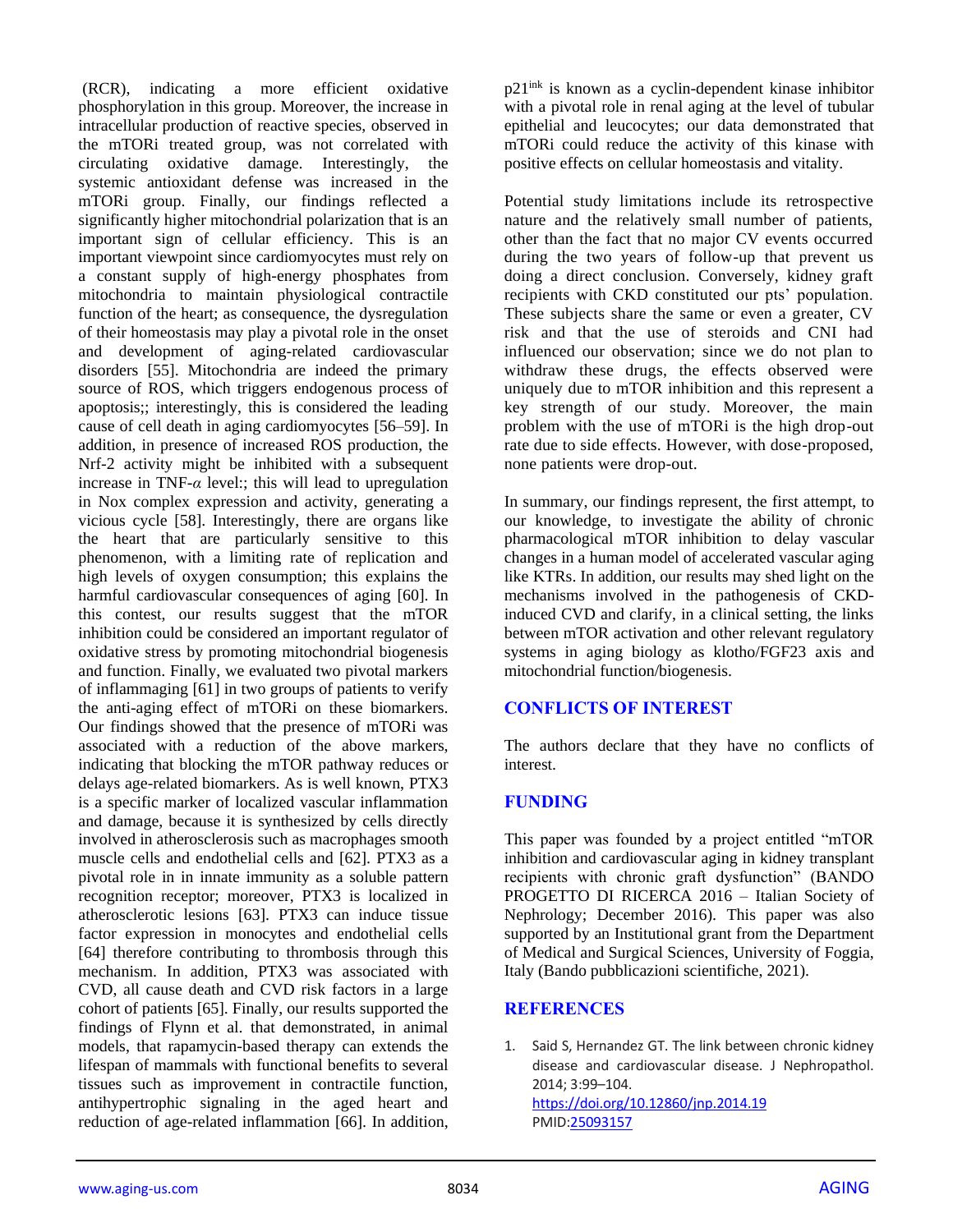(RCR), indicating a more efficient oxidative phosphorylation in this group. Moreover, the increase in intracellular production of reactive species, observed in the mTORi treated group, was not correlated with circulating oxidative damage. Interestingly, the systemic antioxidant defense was increased in the mTORi group. Finally, our findings reflected a significantly higher mitochondrial polarization that is an important sign of cellular efficiency. This is an important viewpoint since cardiomyocytes must rely on a constant supply of high-energy phosphates from mitochondria to maintain physiological contractile function of the heart; as consequence, the dysregulation of their homeostasis may play a pivotal role in the onset and development of aging-related cardiovascular disorders [55]. Mitochondria are indeed the primary source of ROS, which triggers endogenous process of apoptosis;; interestingly, this is considered the leading cause of cell death in aging cardiomyocytes [56–59]. In addition, in presence of increased ROS production, the Nrf-2 activity might be inhibited with a subsequent increase in TNF-*α* level:; this will lead to upregulation in Nox complex expression and activity, generating a vicious cycle [58]. Interestingly, there are organs like the heart that are particularly sensitive to this phenomenon, with a limiting rate of replication and high levels of oxygen consumption; this explains the harmful cardiovascular consequences of aging [60]. In this contest, our results suggest that the mTOR inhibition could be considered an important regulator of oxidative stress by promoting mitochondrial biogenesis and function. Finally, we evaluated two pivotal markers of inflammaging [61] in two groups of patients to verify the anti-aging effect of mTORi on these biomarkers. Our findings showed that the presence of mTORi was associated with a reduction of the above markers, indicating that blocking the mTOR pathway reduces or delays age-related biomarkers. As is well known, PTX3 is a specific marker of localized vascular inflammation and damage, because it is synthesized by cells directly involved in atherosclerosis such as macrophages smooth muscle cells and endothelial cells and [62]. PTX3 as a pivotal role in in innate immunity as a soluble pattern recognition receptor; moreover, PTX3 is localized in atherosclerotic lesions [63]. PTX3 can induce tissue factor expression in monocytes and endothelial cells [64] therefore contributing to thrombosis through this mechanism. In addition, PTX3 was associated with CVD, all cause death and CVD risk factors in a large cohort of patients [65]. Finally, our results supported the findings of Flynn et al. that demonstrated, in animal models, that rapamycin-based therapy can extends the lifespan of mammals with functional benefits to several tissues such as improvement in contractile function, antihypertrophic signaling in the aged heart and reduction of age-related inflammation [66]. In addition,

p21ink is known as a cyclin-dependent kinase inhibitor with a pivotal role in renal aging at the level of tubular epithelial and leucocytes; our data demonstrated that mTORi could reduce the activity of this kinase with positive effects on cellular homeostasis and vitality.

Potential study limitations include its retrospective nature and the relatively small number of patients, other than the fact that no major CV events occurred during the two years of follow-up that prevent us doing a direct conclusion. Conversely, kidney graft recipients with CKD constituted our pts' population. These subjects share the same or even a greater, CV risk and that the use of steroids and CNI had influenced our observation; since we do not plan to withdraw these drugs, the effects observed were uniquely due to mTOR inhibition and this represent a key strength of our study. Moreover, the main problem with the use of mTORi is the high drop-out rate due to side effects. However, with dose-proposed, none patients were drop-out.

In summary, our findings represent, the first attempt, to our knowledge, to investigate the ability of chronic pharmacological mTOR inhibition to delay vascular changes in a human model of accelerated vascular aging like KTRs. In addition, our results may shed light on the mechanisms involved in the pathogenesis of CKDinduced CVD and clarify, in a clinical setting, the links between mTOR activation and other relevant regulatory systems in aging biology as klotho/FGF23 axis and mitochondrial function/biogenesis.

# **CONFLICTS OF INTEREST**

The authors declare that they have no conflicts of interest.

#### **FUNDING**

This paper was founded by a project entitled "mTOR inhibition and cardiovascular aging in kidney transplant recipients with chronic graft dysfunction" (BANDO PROGETTO DI RICERCA 2016 – Italian Society of Nephrology; December 2016). This paper was also supported by an Institutional grant from the Department of Medical and Surgical Sciences, University of Foggia, Italy (Bando pubblicazioni scientifiche, 2021).

#### **REFERENCES**

1. Said S, Hernandez GT. The link between chronic kidney disease and cardiovascular disease. J Nephropathol. 2014; 3:99–104. <https://doi.org/10.12860/jnp.2014.19> PMI[D:25093157](https://pubmed.ncbi.nlm.nih.gov/25093157)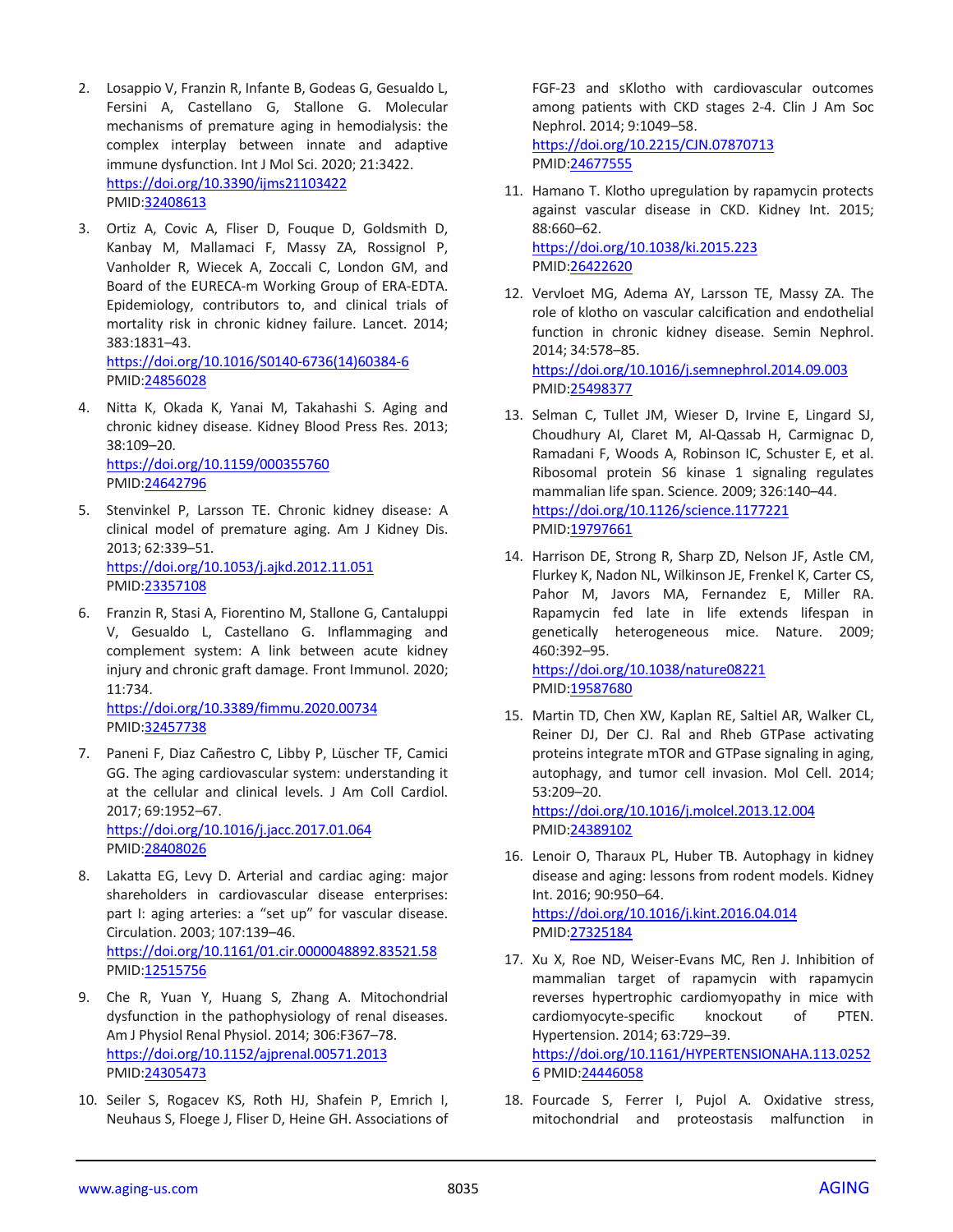- 2. Losappio V, Franzin R, Infante B, Godeas G, Gesualdo L, Fersini A, Castellano G, Stallone G. Molecular mechanisms of premature aging in hemodialysis: the complex interplay between innate and adaptive immune dysfunction. Int J Mol Sci. 2020; 21:3422. <https://doi.org/10.3390/ijms21103422> PMID[:32408613](https://pubmed.ncbi.nlm.nih.gov/32408613)
- 3. Ortiz A, Covic A, Fliser D, Fouque D, Goldsmith D, Kanbay M, Mallamaci F, Massy ZA, Rossignol P, Vanholder R, Wiecek A, Zoccali C, London GM, and Board of the EURECA-m Working Group of ERA-EDTA. Epidemiology, contributors to, and clinical trials of mortality risk in chronic kidney failure. Lancet. 2014; 383:1831–43. [https://doi.org/10.1016/S0140-6736\(14\)60384-6](https://doi.org/10.1016/S0140-6736(14)60384-6)

PMID[:24856028](https://pubmed.ncbi.nlm.nih.gov/24856028)

- 4. Nitta K, Okada K, Yanai M, Takahashi S. Aging and chronic kidney disease. Kidney Blood Press Res. 2013; 38:109–20. <https://doi.org/10.1159/000355760> PMID[:24642796](https://pubmed.ncbi.nlm.nih.gov/24642796)
- 5. Stenvinkel P, Larsson TE. Chronic kidney disease: A clinical model of premature aging. Am J Kidney Dis. 2013; 62:339–51. <https://doi.org/10.1053/j.ajkd.2012.11.051> PMID[:23357108](https://pubmed.ncbi.nlm.nih.gov/23357108)
- 6. Franzin R, Stasi A, Fiorentino M, Stallone G, Cantaluppi V, Gesualdo L, Castellano G. Inflammaging and complement system: A link between acute kidney injury and chronic graft damage. Front Immunol. 2020; 11:734.

<https://doi.org/10.3389/fimmu.2020.00734> PMID[:32457738](https://pubmed.ncbi.nlm.nih.gov/32457738)

- 7. Paneni F, Diaz Cañestro C, Libby P, Lüscher TF, Camici GG. The aging cardiovascular system: understanding it at the cellular and clinical levels. J Am Coll Cardiol. 2017; 69:1952–67. <https://doi.org/10.1016/j.jacc.2017.01.064> PMID[:28408026](https://pubmed.ncbi.nlm.nih.gov/28408026)
- 8. Lakatta EG, Levy D. Arterial and cardiac aging: major shareholders in cardiovascular disease enterprises: part I: aging arteries: a "set up" for vascular disease. Circulation. 2003; 107:139–46. <https://doi.org/10.1161/01.cir.0000048892.83521.58> PMID[:12515756](https://pubmed.ncbi.nlm.nih.gov/12515756)
- 9. Che R, Yuan Y, Huang S, Zhang A. Mitochondrial dysfunction in the pathophysiology of renal diseases. Am J Physiol Renal Physiol. 2014; 306:F367–78. <https://doi.org/10.1152/ajprenal.00571.2013> PMID[:24305473](https://pubmed.ncbi.nlm.nih.gov/24305473)
- 10. Seiler S, Rogacev KS, Roth HJ, Shafein P, Emrich I, Neuhaus S, Floege J, Fliser D, Heine GH. Associations of

FGF-23 and sKlotho with cardiovascular outcomes among patients with CKD stages 2-4. Clin J Am Soc Nephrol. 2014; 9:1049–58. <https://doi.org/10.2215/CJN.07870713> PMI[D:24677555](https://pubmed.ncbi.nlm.nih.gov/24677555)

- 11. Hamano T. Klotho upregulation by rapamycin protects against vascular disease in CKD. Kidney Int. 2015; 88:660–62. <https://doi.org/10.1038/ki.2015.223> PMI[D:26422620](https://pubmed.ncbi.nlm.nih.gov/26422620)
- 12. Vervloet MG, Adema AY, Larsson TE, Massy ZA. The role of klotho on vascular calcification and endothelial function in chronic kidney disease. Semin Nephrol. 2014; 34:578–85. <https://doi.org/10.1016/j.semnephrol.2014.09.003> PMI[D:25498377](https://pubmed.ncbi.nlm.nih.gov/25498377)
- 13. Selman C, Tullet JM, Wieser D, Irvine E, Lingard SJ, Choudhury AI, Claret M, Al-Qassab H, Carmignac D, Ramadani F, Woods A, Robinson IC, Schuster E, et al. Ribosomal protein S6 kinase 1 signaling regulates mammalian life span. Science. 2009; 326:140–44. <https://doi.org/10.1126/science.1177221> PMI[D:19797661](https://pubmed.ncbi.nlm.nih.gov/19797661)
- 14. Harrison DE, Strong R, Sharp ZD, Nelson JF, Astle CM, Flurkey K, Nadon NL, Wilkinson JE, Frenkel K, Carter CS, Pahor M, Javors MA, Fernandez E, Miller RA. Rapamycin fed late in life extends lifespan in genetically heterogeneous mice. Nature. 2009; 460:392–95. <https://doi.org/10.1038/nature08221>

PMI[D:19587680](https://pubmed.ncbi.nlm.nih.gov/19587680)

15. Martin TD, Chen XW, Kaplan RE, Saltiel AR, Walker CL, Reiner DJ, Der CJ. Ral and Rheb GTPase activating proteins integrate mTOR and GTPase signaling in aging, autophagy, and tumor cell invasion. Mol Cell. 2014; 53:209–20. <https://doi.org/10.1016/j.molcel.2013.12.004>

PMI[D:24389102](https://pubmed.ncbi.nlm.nih.gov/24389102)

- 16. Lenoir O, Tharaux PL, Huber TB. Autophagy in kidney disease and aging: lessons from rodent models. Kidney Int. 2016; 90:950–64. <https://doi.org/10.1016/j.kint.2016.04.014> PMI[D:27325184](https://pubmed.ncbi.nlm.nih.gov/27325184)
- 17. Xu X, Roe ND, Weiser-Evans MC, Ren J. Inhibition of mammalian target of rapamycin with rapamycin reverses hypertrophic cardiomyopathy in mice with cardiomyocyte-specific knockout of PTEN. Hypertension. 2014; 63:729–39. [https://doi.org/10.1161/HYPERTENSIONAHA.113.0252](https://doi.org/10.1161/HYPERTENSIONAHA.113.02526) [6](https://doi.org/10.1161/HYPERTENSIONAHA.113.02526) PMI[D:24446058](https://pubmed.ncbi.nlm.nih.gov/24446058)
- 18. Fourcade S, Ferrer I, Pujol A. Oxidative stress, mitochondrial and proteostasis malfunction in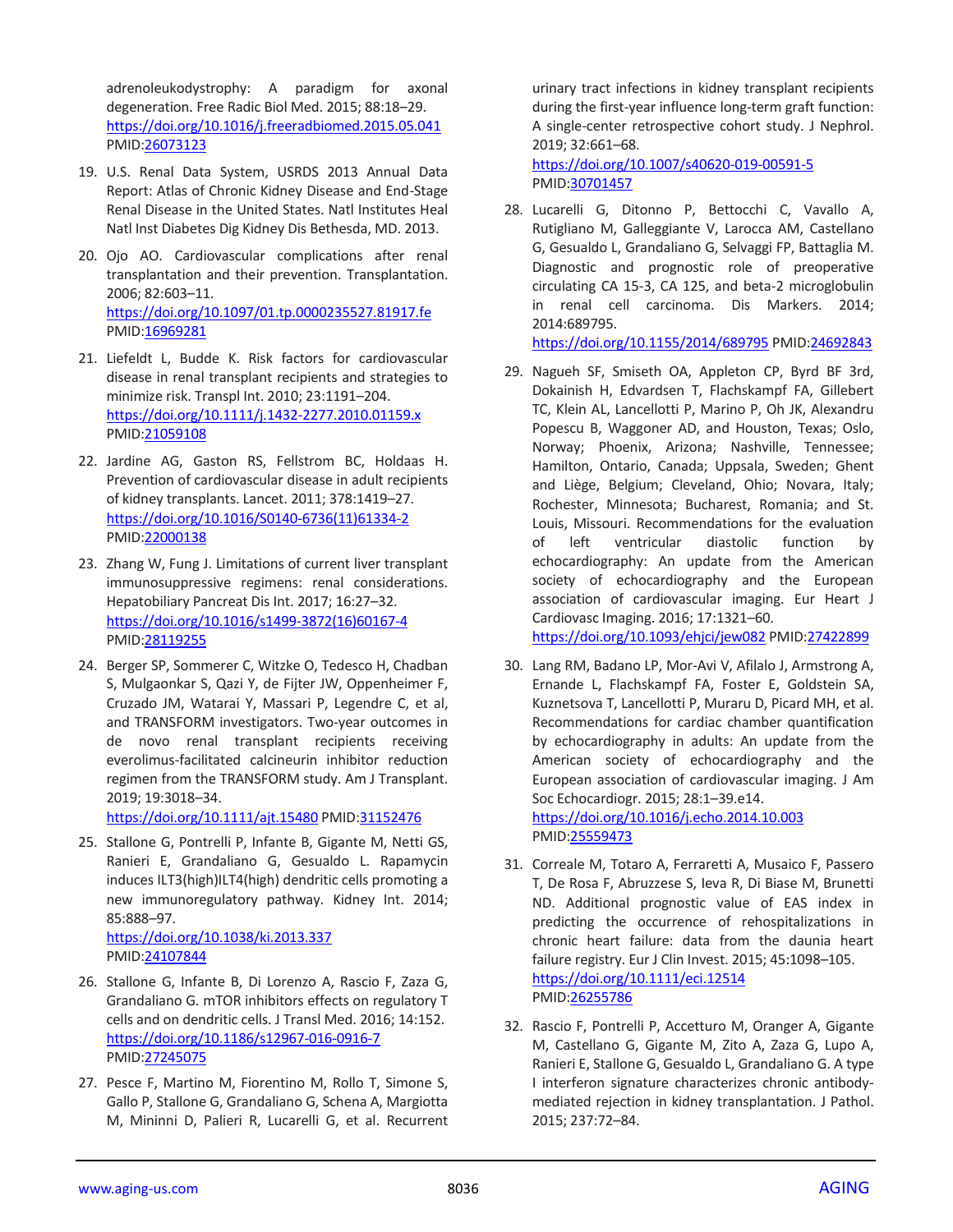adrenoleukodystrophy: A paradigm for axonal degeneration. Free Radic Biol Med. 2015; 88:18–29. <https://doi.org/10.1016/j.freeradbiomed.2015.05.041> PMID[:26073123](https://pubmed.ncbi.nlm.nih.gov/26073123)

- 19. U.S. Renal Data System, USRDS 2013 Annual Data Report: Atlas of Chronic Kidney Disease and End-Stage Renal Disease in the United States. Natl Institutes Heal Natl Inst Diabetes Dig Kidney Dis Bethesda, MD. 2013.
- 20. Ojo AO. Cardiovascular complications after renal transplantation and their prevention. Transplantation. 2006; 82:603–11. <https://doi.org/10.1097/01.tp.0000235527.81917.fe> PMID[:16969281](https://pubmed.ncbi.nlm.nih.gov/16969281)
- 21. Liefeldt L, Budde K. Risk factors for cardiovascular disease in renal transplant recipients and strategies to minimize risk. Transpl Int. 2010; 23:1191–204. <https://doi.org/10.1111/j.1432-2277.2010.01159.x> PMID[:21059108](https://pubmed.ncbi.nlm.nih.gov/21059108)
- 22. Jardine AG, Gaston RS, Fellstrom BC, Holdaas H. Prevention of cardiovascular disease in adult recipients of kidney transplants. Lancet. 2011; 378:1419–27. [https://doi.org/10.1016/S0140-6736\(11\)61334-2](https://doi.org/10.1016/S0140-6736(11)61334-2) PMID[:22000138](https://pubmed.ncbi.nlm.nih.gov/22000138)
- 23. Zhang W, Fung J. Limitations of current liver transplant immunosuppressive regimens: renal considerations. Hepatobiliary Pancreat Dis Int. 2017; 16:27–32. [https://doi.org/10.1016/s1499-3872\(16\)60167-4](https://doi.org/10.1016/s1499-3872(16)60167-4) PMID[:28119255](https://pubmed.ncbi.nlm.nih.gov/28119255)
- 24. Berger SP, Sommerer C, Witzke O, Tedesco H, Chadban S, Mulgaonkar S, Qazi Y, de Fijter JW, Oppenheimer F, Cruzado JM, Watarai Y, Massari P, Legendre C, et al, and TRANSFORM investigators. Two-year outcomes in de novo renal transplant recipients receiving everolimus-facilitated calcineurin inhibitor reduction regimen from the TRANSFORM study. Am J Transplant. 2019; 19:3018–34.

<https://doi.org/10.1111/ajt.15480> PMID[:31152476](https://pubmed.ncbi.nlm.nih.gov/31152476)

25. Stallone G, Pontrelli P, Infante B, Gigante M, Netti GS, Ranieri E, Grandaliano G, Gesualdo L. Rapamycin induces ILT3(high)ILT4(high) dendritic cells promoting a new immunoregulatory pathway. Kidney Int. 2014; 85:888–97. <https://doi.org/10.1038/ki.2013.337>

PMID[:24107844](https://pubmed.ncbi.nlm.nih.gov/24107844)

- 26. Stallone G, Infante B, Di Lorenzo A, Rascio F, Zaza G, Grandaliano G. mTOR inhibitors effects on regulatory T cells and on dendritic cells. J Transl Med. 2016; 14:152. <https://doi.org/10.1186/s12967-016-0916-7> PMID[:27245075](https://pubmed.ncbi.nlm.nih.gov/27245075)
- 27. Pesce F, Martino M, Fiorentino M, Rollo T, Simone S, Gallo P, Stallone G, Grandaliano G, Schena A, Margiotta M, Mininni D, Palieri R, Lucarelli G, et al. Recurrent

urinary tract infections in kidney transplant recipients during the first-year influence long-term graft function: A single-center retrospective cohort study. J Nephrol. 2019; 32:661–68.

<https://doi.org/10.1007/s40620-019-00591-5> PMI[D:30701457](https://pubmed.ncbi.nlm.nih.gov/30701457)

28. Lucarelli G, Ditonno P, Bettocchi C, Vavallo A, Rutigliano M, Galleggiante V, Larocca AM, Castellano G, Gesualdo L, Grandaliano G, Selvaggi FP, Battaglia M. Diagnostic and prognostic role of preoperative circulating CA 15-3, CA 125, and beta-2 microglobulin in renal cell carcinoma. Dis Markers. 2014; 2014:689795.

<https://doi.org/10.1155/2014/689795> PMID[:24692843](https://pubmed.ncbi.nlm.nih.gov/24692843)

- 29. Nagueh SF, Smiseth OA, Appleton CP, Byrd BF 3rd, Dokainish H, Edvardsen T, Flachskampf FA, Gillebert TC, Klein AL, Lancellotti P, Marino P, Oh JK, Alexandru Popescu B, Waggoner AD, and Houston, Texas; Oslo, Norway; Phoenix, Arizona; Nashville, Tennessee; Hamilton, Ontario, Canada; Uppsala, Sweden; Ghent and Liège, Belgium; Cleveland, Ohio; Novara, Italy; Rochester, Minnesota; Bucharest, Romania; and St. Louis, Missouri. Recommendations for the evaluation of left ventricular diastolic function by echocardiography: An update from the American society of echocardiography and the European association of cardiovascular imaging. Eur Heart J Cardiovasc Imaging. 2016; 17:1321–60. <https://doi.org/10.1093/ehjci/jew082> PMID[:27422899](https://pubmed.ncbi.nlm.nih.gov/27422899)
- 30. Lang RM, Badano LP, Mor-Avi V, Afilalo J, Armstrong A, Ernande L, Flachskampf FA, Foster E, Goldstein SA, Kuznetsova T, Lancellotti P, Muraru D, Picard MH, et al. Recommendations for cardiac chamber quantification by echocardiography in adults: An update from the American society of echocardiography and the European association of cardiovascular imaging. J Am Soc Echocardiogr. 2015; 28:1–39.e14. <https://doi.org/10.1016/j.echo.2014.10.003> PMI[D:25559473](https://pubmed.ncbi.nlm.nih.gov/25559473)

31. Correale M, Totaro A, Ferraretti A, Musaico F, Passero T, De Rosa F, Abruzzese S, Ieva R, Di Biase M, Brunetti ND. Additional prognostic value of EAS index in predicting the occurrence of rehospitalizations in chronic heart failure: data from the daunia heart failure registry. Eur J Clin Invest. 2015; 45:1098–105. <https://doi.org/10.1111/eci.12514> PMI[D:26255786](https://pubmed.ncbi.nlm.nih.gov/26255786)

32. Rascio F, Pontrelli P, Accetturo M, Oranger A, Gigante M, Castellano G, Gigante M, Zito A, Zaza G, Lupo A, Ranieri E, Stallone G, Gesualdo L, Grandaliano G. A type I interferon signature characterizes chronic antibodymediated rejection in kidney transplantation. J Pathol. 2015; 237:72–84.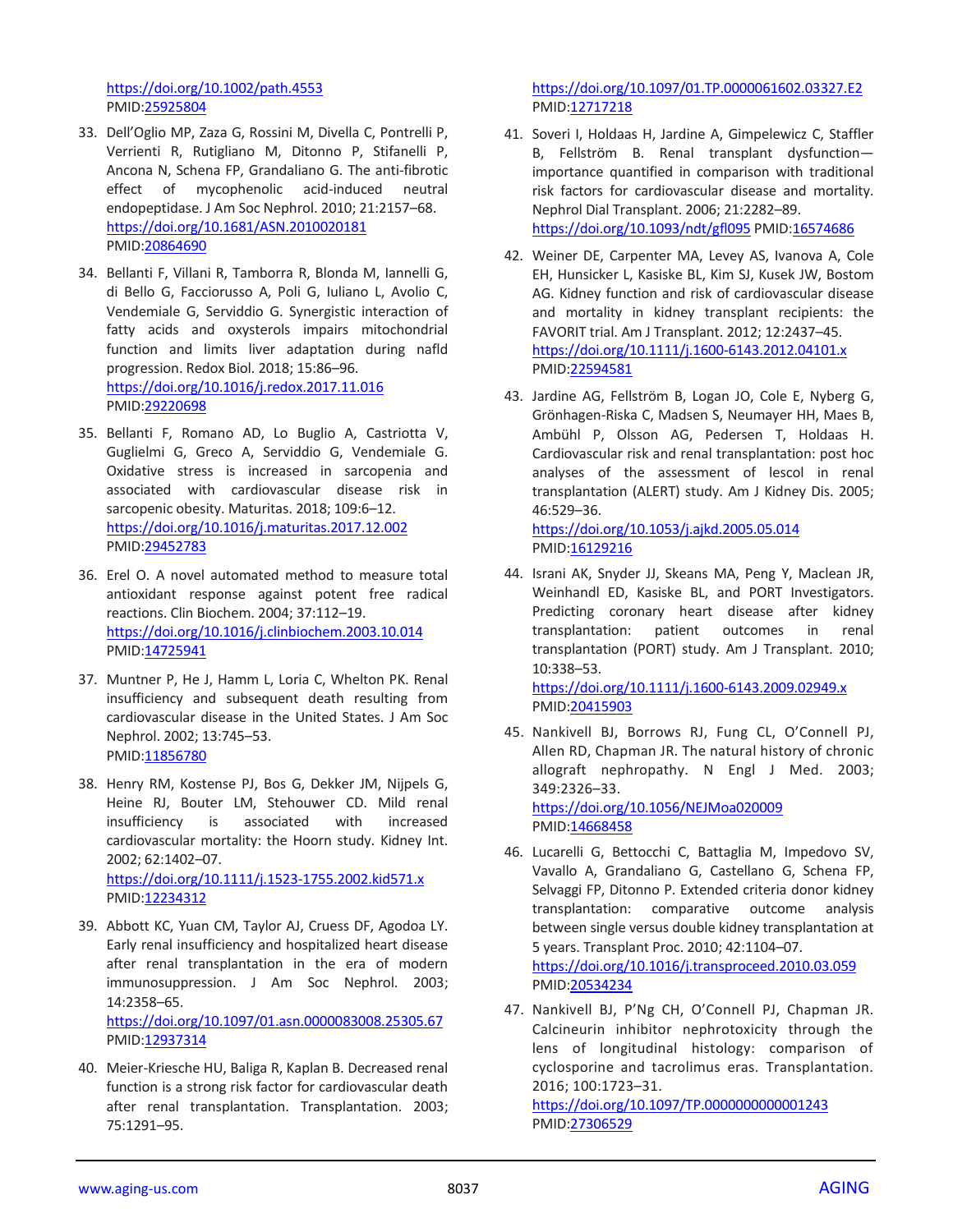<https://doi.org/10.1002/path.4553> PMID[:25925804](https://pubmed.ncbi.nlm.nih.gov/25925804)

- 33. Dell'Oglio MP, Zaza G, Rossini M, Divella C, Pontrelli P, Verrienti R, Rutigliano M, Ditonno P, Stifanelli P, Ancona N, Schena FP, Grandaliano G. The anti-fibrotic effect of mycophenolic acid-induced neutral endopeptidase. J Am Soc Nephrol. 2010; 21:2157–68. <https://doi.org/10.1681/ASN.2010020181> PMID[:20864690](https://pubmed.ncbi.nlm.nih.gov/20864690)
- 34. Bellanti F, Villani R, Tamborra R, Blonda M, Iannelli G, di Bello G, Facciorusso A, Poli G, Iuliano L, Avolio C, Vendemiale G, Serviddio G. Synergistic interaction of fatty acids and oxysterols impairs mitochondrial function and limits liver adaptation during nafld progression. Redox Biol. 2018; 15:86–96. <https://doi.org/10.1016/j.redox.2017.11.016> PMID[:29220698](https://pubmed.ncbi.nlm.nih.gov/29220698)
- 35. Bellanti F, Romano AD, Lo Buglio A, Castriotta V, Guglielmi G, Greco A, Serviddio G, Vendemiale G. Oxidative stress is increased in sarcopenia and associated with cardiovascular disease risk in sarcopenic obesity. Maturitas. 2018; 109:6–12. <https://doi.org/10.1016/j.maturitas.2017.12.002> PMID[:29452783](https://pubmed.ncbi.nlm.nih.gov/29452783)
- 36. Erel O. A novel automated method to measure total antioxidant response against potent free radical reactions. Clin Biochem. 2004; 37:112–19. <https://doi.org/10.1016/j.clinbiochem.2003.10.014> PMID[:14725941](https://pubmed.ncbi.nlm.nih.gov/14725941)
- 37. Muntner P, He J, Hamm L, Loria C, Whelton PK. Renal insufficiency and subsequent death resulting from cardiovascular disease in the United States. J Am Soc Nephrol. 2002; 13:745–53. PMID[:11856780](https://pubmed.ncbi.nlm.nih.gov/11856780)
- 38. Henry RM, Kostense PJ, Bos G, Dekker JM, Nijpels G, Heine RJ, Bouter LM, Stehouwer CD. Mild renal insufficiency is associated with increased cardiovascular mortality: the Hoorn study. Kidney Int. 2002; 62:1402–07. <https://doi.org/10.1111/j.1523-1755.2002.kid571.x> PMID[:12234312](https://pubmed.ncbi.nlm.nih.gov/12234312)
- 39. Abbott KC, Yuan CM, Taylor AJ, Cruess DF, Agodoa LY. Early renal insufficiency and hospitalized heart disease after renal transplantation in the era of modern immunosuppression. J Am Soc Nephrol. 2003; 14:2358–65. <https://doi.org/10.1097/01.asn.0000083008.25305.67> PMID[:12937314](https://pubmed.ncbi.nlm.nih.gov/12937314)
- 40. Meier-Kriesche HU, Baliga R, Kaplan B. Decreased renal function is a strong risk factor for cardiovascular death after renal transplantation. Transplantation. 2003; 75:1291–95.

<https://doi.org/10.1097/01.TP.0000061602.03327.E2> PMI[D:12717218](https://pubmed.ncbi.nlm.nih.gov/12717218)

- 41. Soveri I, Holdaas H, Jardine A, Gimpelewicz C, Staffler B, Fellström B. Renal transplant dysfunction importance quantified in comparison with traditional risk factors for cardiovascular disease and mortality. Nephrol Dial Transplant. 2006; 21:2282–89. <https://doi.org/10.1093/ndt/gfl095> PMID[:16574686](https://pubmed.ncbi.nlm.nih.gov/16574686)
- 42. Weiner DE, Carpenter MA, Levey AS, Ivanova A, Cole EH, Hunsicker L, Kasiske BL, Kim SJ, Kusek JW, Bostom AG. Kidney function and risk of cardiovascular disease and mortality in kidney transplant recipients: the FAVORIT trial. Am J Transplant. 2012; 12:2437–45. <https://doi.org/10.1111/j.1600-6143.2012.04101.x> PMI[D:22594581](https://pubmed.ncbi.nlm.nih.gov/22594581)
- 43. Jardine AG, Fellström B, Logan JO, Cole E, Nyberg G, Grönhagen-Riska C, Madsen S, Neumayer HH, Maes B, Ambühl P, Olsson AG, Pedersen T, Holdaas H. Cardiovascular risk and renal transplantation: post hoc analyses of the assessment of lescol in renal transplantation (ALERT) study. Am J Kidney Dis. 2005; 46:529–36.

<https://doi.org/10.1053/j.ajkd.2005.05.014> PMI[D:16129216](https://pubmed.ncbi.nlm.nih.gov/16129216)

- 44. Israni AK, Snyder JJ, Skeans MA, Peng Y, Maclean JR, Weinhandl ED, Kasiske BL, and PORT Investigators. Predicting coronary heart disease after kidney transplantation: patient outcomes in renal transplantation (PORT) study. Am J Transplant. 2010; 10:338–53. <https://doi.org/10.1111/j.1600-6143.2009.02949.x>
	- PMI[D:20415903](https://pubmed.ncbi.nlm.nih.gov/20415903)
- 45. Nankivell BJ, Borrows RJ, Fung CL, O'Connell PJ, Allen RD, Chapman JR. The natural history of chronic allograft nephropathy. N Engl J Med. 2003; 349:2326–33.

<https://doi.org/10.1056/NEJMoa020009> PMI[D:14668458](https://pubmed.ncbi.nlm.nih.gov/14668458)

- 46. Lucarelli G, Bettocchi C, Battaglia M, Impedovo SV, Vavallo A, Grandaliano G, Castellano G, Schena FP, Selvaggi FP, Ditonno P. Extended criteria donor kidney transplantation: comparative outcome analysis between single versus double kidney transplantation at 5 years. Transplant Proc. 2010; 42:1104–07. <https://doi.org/10.1016/j.transproceed.2010.03.059> PMI[D:20534234](https://pubmed.ncbi.nlm.nih.gov/20534234)
- 47. Nankivell BJ, P'Ng CH, O'Connell PJ, Chapman JR. Calcineurin inhibitor nephrotoxicity through the lens of longitudinal histology: comparison of cyclosporine and tacrolimus eras. Transplantation. 2016; 100:1723–31. <https://doi.org/10.1097/TP.0000000000001243>

PMI[D:27306529](https://pubmed.ncbi.nlm.nih.gov/27306529)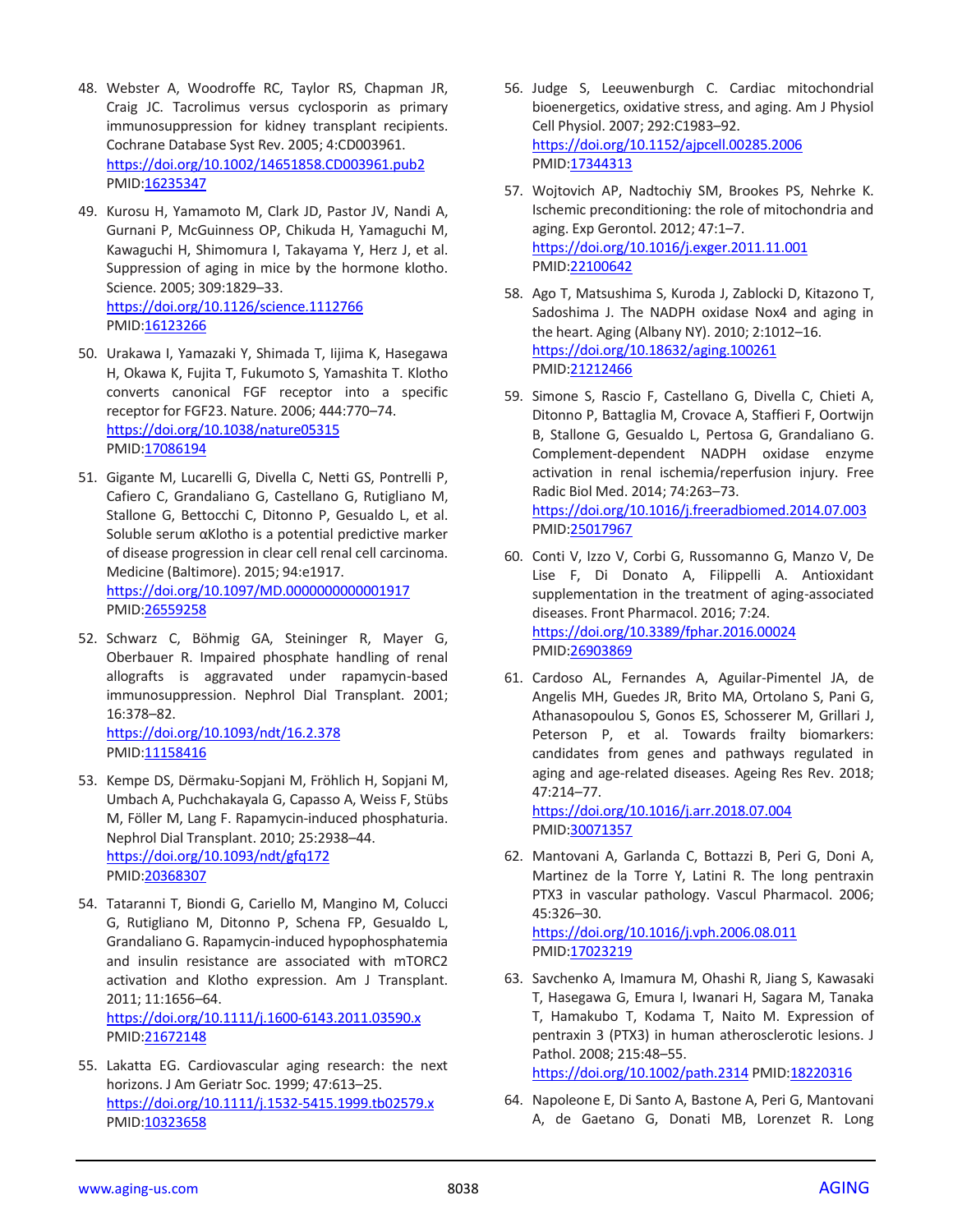- 48. Webster A, Woodroffe RC, Taylor RS, Chapman JR, Craig JC. Tacrolimus versus cyclosporin as primary immunosuppression for kidney transplant recipients. Cochrane Database Syst Rev. 2005; 4:CD003961. <https://doi.org/10.1002/14651858.CD003961.pub2> PMID[:16235347](https://pubmed.ncbi.nlm.nih.gov/16235347)
- 49. Kurosu H, Yamamoto M, Clark JD, Pastor JV, Nandi A, Gurnani P, McGuinness OP, Chikuda H, Yamaguchi M, Kawaguchi H, Shimomura I, Takayama Y, Herz J, et al. Suppression of aging in mice by the hormone klotho. Science. 2005; 309:1829–33. <https://doi.org/10.1126/science.1112766> PMID[:16123266](https://pubmed.ncbi.nlm.nih.gov/16123266)
- 50. Urakawa I, Yamazaki Y, Shimada T, Iijima K, Hasegawa H, Okawa K, Fujita T, Fukumoto S, Yamashita T. Klotho converts canonical FGF receptor into a specific receptor for FGF23. Nature. 2006; 444:770–74. <https://doi.org/10.1038/nature05315> PMID[:17086194](https://pubmed.ncbi.nlm.nih.gov/17086194)
- 51. Gigante M, Lucarelli G, Divella C, Netti GS, Pontrelli P, Cafiero C, Grandaliano G, Castellano G, Rutigliano M, Stallone G, Bettocchi C, Ditonno P, Gesualdo L, et al. Soluble serum αKlotho is a potential predictive marker of disease progression in clear cell renal cell carcinoma. Medicine (Baltimore). 2015; 94:e1917. <https://doi.org/10.1097/MD.0000000000001917> PMID[:26559258](https://pubmed.ncbi.nlm.nih.gov/26559258)
- 52. Schwarz C, Böhmig GA, Steininger R, Mayer G, Oberbauer R. Impaired phosphate handling of renal allografts is aggravated under rapamycin-based immunosuppression. Nephrol Dial Transplant. 2001; 16:378–82. <https://doi.org/10.1093/ndt/16.2.378> PMID[:11158416](https://pubmed.ncbi.nlm.nih.gov/11158416)
- 53. Kempe DS, Dërmaku-Sopjani M, Fröhlich H, Sopjani M, Umbach A, Puchchakayala G, Capasso A, Weiss F, Stübs M, Föller M, Lang F. Rapamycin-induced phosphaturia. Nephrol Dial Transplant. 2010; 25:2938–44. <https://doi.org/10.1093/ndt/gfq172> PMID[:20368307](https://pubmed.ncbi.nlm.nih.gov/20368307)
- 54. Tataranni T, Biondi G, Cariello M, Mangino M, Colucci G, Rutigliano M, Ditonno P, Schena FP, Gesualdo L, Grandaliano G. Rapamycin-induced hypophosphatemia and insulin resistance are associated with mTORC2 activation and Klotho expression. Am J Transplant. 2011; 11:1656–64. <https://doi.org/10.1111/j.1600-6143.2011.03590.x>

PMID[:21672148](https://pubmed.ncbi.nlm.nih.gov/21672148)

55. Lakatta EG. Cardiovascular aging research: the next horizons. J Am Geriatr Soc. 1999; 47:613–25. <https://doi.org/10.1111/j.1532-5415.1999.tb02579.x> PMID[:10323658](https://pubmed.ncbi.nlm.nih.gov/10323658)

- 56. Judge S, Leeuwenburgh C. Cardiac mitochondrial bioenergetics, oxidative stress, and aging. Am J Physiol Cell Physiol. 2007; 292:C1983–92. <https://doi.org/10.1152/ajpcell.00285.2006> PMI[D:17344313](https://pubmed.ncbi.nlm.nih.gov/17344313)
- 57. Wojtovich AP, Nadtochiy SM, Brookes PS, Nehrke K. Ischemic preconditioning: the role of mitochondria and aging. Exp Gerontol. 2012; 47:1–7. <https://doi.org/10.1016/j.exger.2011.11.001> PMI[D:22100642](https://pubmed.ncbi.nlm.nih.gov/22100642)
- 58. Ago T, Matsushima S, Kuroda J, Zablocki D, Kitazono T, Sadoshima J. The NADPH oxidase Nox4 and aging in the heart. Aging (Albany NY). 2010; 2:1012–16. <https://doi.org/10.18632/aging.100261> PMI[D:21212466](https://pubmed.ncbi.nlm.nih.gov/21212466)
- 59. Simone S, Rascio F, Castellano G, Divella C, Chieti A, Ditonno P, Battaglia M, Crovace A, Staffieri F, Oortwijn B, Stallone G, Gesualdo L, Pertosa G, Grandaliano G. Complement-dependent NADPH oxidase enzyme activation in renal ischemia/reperfusion injury. Free Radic Biol Med. 2014; 74:263–73. <https://doi.org/10.1016/j.freeradbiomed.2014.07.003> PMI[D:25017967](https://pubmed.ncbi.nlm.nih.gov/25017967)
- 60. Conti V, Izzo V, Corbi G, Russomanno G, Manzo V, De Lise F, Di Donato A, Filippelli A. Antioxidant supplementation in the treatment of aging-associated diseases. Front Pharmacol. 2016; 7:24. <https://doi.org/10.3389/fphar.2016.00024> PMI[D:26903869](https://pubmed.ncbi.nlm.nih.gov/26903869)
- 61. Cardoso AL, Fernandes A, Aguilar-Pimentel JA, de Angelis MH, Guedes JR, Brito MA, Ortolano S, Pani G, Athanasopoulou S, Gonos ES, Schosserer M, Grillari J, Peterson P, et al. Towards frailty biomarkers: candidates from genes and pathways regulated in aging and age-related diseases. Ageing Res Rev. 2018; 47:214–77.

<https://doi.org/10.1016/j.arr.2018.07.004> PMI[D:30071357](https://pubmed.ncbi.nlm.nih.gov/30071357)

62. Mantovani A, Garlanda C, Bottazzi B, Peri G, Doni A, Martinez de la Torre Y, Latini R. The long pentraxin PTX3 in vascular pathology. Vascul Pharmacol. 2006; 45:326–30.

<https://doi.org/10.1016/j.vph.2006.08.011> PMI[D:17023219](https://pubmed.ncbi.nlm.nih.gov/17023219)

- 63. Savchenko A, Imamura M, Ohashi R, Jiang S, Kawasaki T, Hasegawa G, Emura I, Iwanari H, Sagara M, Tanaka T, Hamakubo T, Kodama T, Naito M. Expression of pentraxin 3 (PTX3) in human atherosclerotic lesions. J Pathol. 2008; 215:48–55. <https://doi.org/10.1002/path.2314> PMID[:18220316](https://pubmed.ncbi.nlm.nih.gov/18220316)
- 64. Napoleone E, Di Santo A, Bastone A, Peri G, Mantovani A, de Gaetano G, Donati MB, Lorenzet R. Long